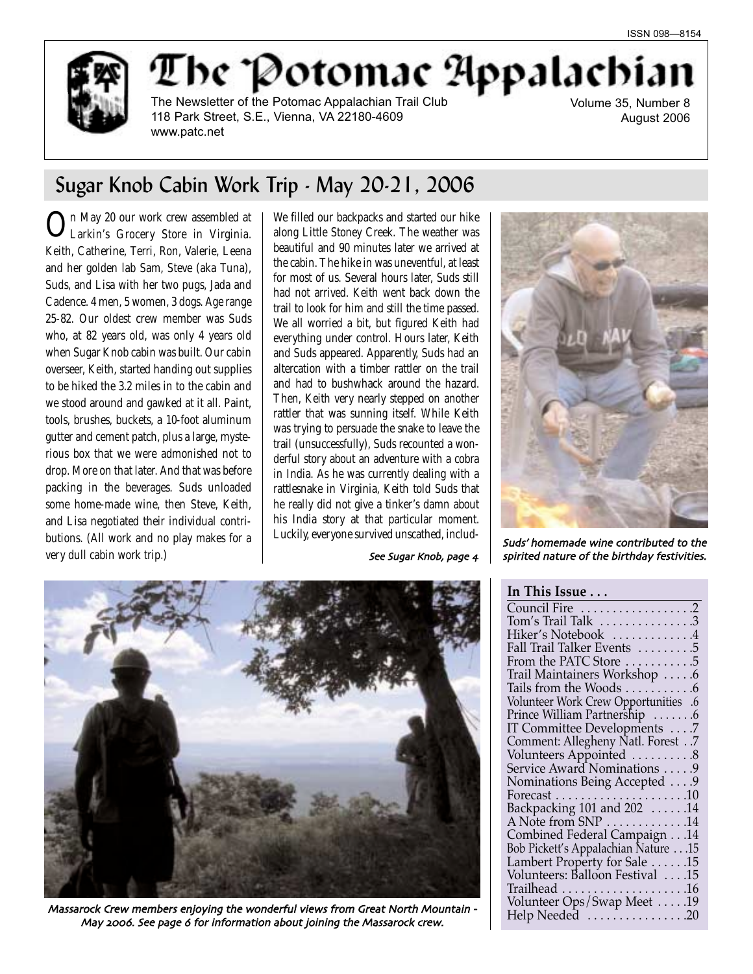

The Potomae Appalachia

The Newsletter of the Potomac Appalachian Trail Club 118 Park Street, S.E., Vienna, VA 22180-4609 www.patc.net

Volume 35, Number 8 August 2006

# Sugar Knob Cabin Work Trip - May 20-21, 2006

In May 20 our work crew assembled at Larkin's Grocery Store in Virginia. Keith, Catherine, Terri, Ron, Valerie, Leena and her golden lab Sam, Steve (aka Tuna), Suds, and Lisa with her two pugs, Jada and Cadence. 4 men, 5 women, 3 dogs. Age range 25-82. Our oldest crew member was Suds who, at 82 years old, was only 4 years old when Sugar Knob cabin was built. Our cabin overseer, Keith, started handing out supplies to be hiked the 3.2 miles in to the cabin and we stood around and gawked at it all. Paint, tools, brushes, buckets, a 10-foot aluminum gutter and cement patch, plus a large, mysterious box that we were admonished not to drop. More on that later. And that was before packing in the beverages. Suds unloaded some home-made wine, then Steve, Keith, and Lisa negotiated their individual contributions. (All work and no play makes for a very dull cabin work trip.)

We filled our backpacks and started our hike along Little Stoney Creek. The weather was beautiful and 90 minutes later we arrived at the cabin. The hike in was uneventful, at least for most of us. Several hours later, Suds still had not arrived. Keith went back down the trail to look for him and still the time passed. We all worried a bit, but figured Keith had everything under control. Hours later, Keith and Suds appeared. Apparently, Suds had an altercation with a timber rattler on the trail and had to bushwhack around the hazard. Then, Keith very nearly stepped on another rattler that was sunning itself. While Keith was trying to persuade the snake to leave the trail (unsuccessfully), Suds recounted a wonderful story about an adventure with a cobra in India. As he was currently dealing with a rattlesnake in Virginia, Keith told Suds that he really did not give a tinker's damn about his India story at that particular moment. Luckily, everyone survived unscathed, includ-<br>Suds' homemade wine contributed to the



Massarock Crew members enjoving the wonderful views from Great North Mountain -May 2006. See page 6 for information about joining the Massarock crew.



See Sugar Knob, page  $4 \mid$  spirited nature of the birthday festivities.

### **In This Issue . . .**

| Council Fire 2                               |  |
|----------------------------------------------|--|
| Tom's Trail Talk 3                           |  |
| Hiker's Notebook 4                           |  |
| Fall Trail Talker Events 5                   |  |
| From the PATC Store 5                        |  |
| Trail Maintainers Workshop 6                 |  |
| Tails from the Woods 6                       |  |
| Volunteer Work Crew Opportunities .6         |  |
| Prince William Partnership 6                 |  |
| IT Committee Developments 7                  |  |
| Comment: Allegheny Natl. Forest7             |  |
| Volunteers Appointed  8                      |  |
| Service Award Nominations 9                  |  |
| Nominations Being Accepted 9                 |  |
|                                              |  |
|                                              |  |
| A Note from SNP $\dots \dots \dots \dots 14$ |  |
| Combined Federal Campaign 14                 |  |
| Bob Pickett's Appalachian Nature 15          |  |
| Lambert Property for Sale 15                 |  |
| Volunteers: Balloon Festival  .15            |  |
|                                              |  |
| Volunteer Ops/Swap Meet 19                   |  |
| Help Needed 20                               |  |
|                                              |  |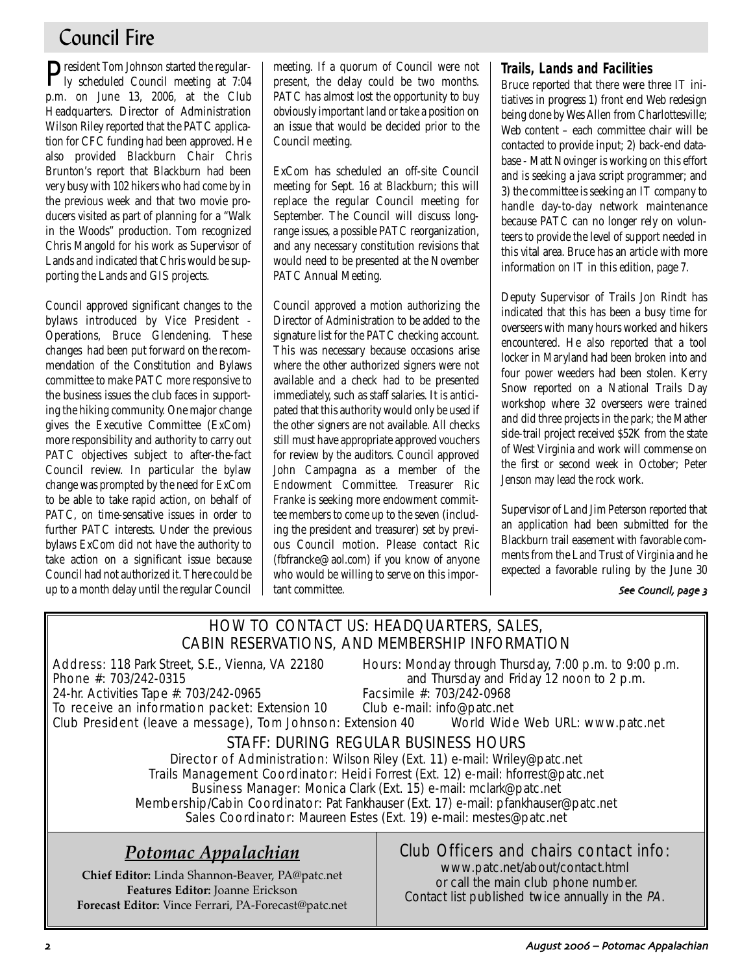# Council Fire

President Tom Johnson started the regular-ly scheduled Council meeting at 7:04 p.m. on June 13, 2006, at the Club Headquarters. Director of Administration Wilson Riley reported that the PATC application for CFC funding had been approved. He also provided Blackburn Chair Chris Brunton's report that Blackburn had been very busy with 102 hikers who had come by in the previous week and that two movie producers visited as part of planning for a "Walk in the Woods" production. Tom recognized Chris Mangold for his work as Supervisor of Lands and indicated that Chris would be supporting the Lands and GIS projects.

Council approved significant changes to the bylaws introduced by Vice President - Operations, Bruce Glendening. These changes had been put forward on the recommendation of the Constitution and Bylaws committee to make PATC more responsive to the business issues the club faces in supporting the hiking community. One major change gives the Executive Committee (ExCom) more responsibility and authority to carry out PATC objectives subject to after-the-fact Council review. In particular the bylaw change was prompted by the need for ExCom to be able to take rapid action, on behalf of PATC, on time-sensative issues in order to further PATC interests. Under the previous bylaws ExCom did not have the authority to take action on a significant issue because Council had not authorized it. There could be up to a month delay until the regular Council meeting. If a quorum of Council were not present, the delay could be two months. PATC has almost lost the opportunity to buy obviously important land or take a position on an issue that would be decided prior to the Council meeting.

ExCom has scheduled an off-site Council meeting for Sept. 16 at Blackburn; this will replace the regular Council meeting for September. The Council will discuss longrange issues, a possible PATC reorganization, and any necessary constitution revisions that would need to be presented at the November PATC Annual Meeting.

Council approved a motion authorizing the Director of Administration to be added to the signature list for the PATC checking account. This was necessary because occasions arise where the other authorized signers were not available and a check had to be presented immediately, such as staff salaries. It is anticipated that this authority would only be used if the other signers are not available. All checks still must have appropriate approved vouchers for review by the auditors. Council approved John Campagna as a member of the Endowment Committee. Treasurer Ric Franke is seeking more endowment committee members to come up to the seven (including the president and treasurer) set by previous Council motion. Please contact Ric (fbfrancke@aol.com) if you know of anyone who would be willing to serve on this important committee.

# **Trails, Lands and Facilities**

Bruce reported that there were three IT initiatives in progress 1) front end Web redesign being done by Wes Allen from Charlottesville; Web content – each committee chair will be contacted to provide input; 2) back-end database - Matt Novinger is working on this effort and is seeking a java script programmer; and 3) the committee is seeking an IT company to handle day-to-day network maintenance because PATC can no longer rely on volunteers to provide the level of support needed in this vital area. Bruce has an article with more information on IT in this edition, page 7.

Deputy Supervisor of Trails Jon Rindt has indicated that this has been a busy time for overseers with many hours worked and hikers encountered. He also reported that a tool locker in Maryland had been broken into and four power weeders had been stolen. Kerry Snow reported on a National Trails Day workshop where 32 overseers were trained and did three projects in the park; the Mather side-trail project received \$52K from the state of West Virginia and work will commense on the first or second week in October; Peter Jenson may lead the rock work.

Supervisor of Land Jim Peterson reported that an application had been submitted for the Blackburn trail easement with favorable comments from the Land Trust of Virginia and he expected a favorable ruling by the June 30

### See Council, page 3

# HOW TO CONTACT US: HEADQUARTERS, SALES, CABIN RESERVATIONS, AND MEMBERSHIP INFORMATION

Address: 118 Park Street, S.E., Vienna, VA 22180 Hours: Monday through Thursday, 7:00 p.m. to 9:00 p.m.

24-hr. Activities Tape #: 703/242-0965

**Phone #:** 703/242-0315 **and Thursday and Friday 12 noon to 2 p.m.**<br>24-hr. Activities Tape #: 703/242-0965 **Facsimile #:** 703/242-0968

To receive an information packet: Extension 10 Club e-mail: info@patc.net Club President (leave a message), Tom Johnson: Extension 40 World Wide Web URL: www.patc.net

# STAFF: DURING REGULAR BUSINESS HOURS

Director of Administration: Wilson Riley (Ext. 11) e-mail: Wriley@patc.net Trails Management Coordinator: Heidi Forrest (Ext. 12) e-mail: hforrest@patc.net Business Manager: Monica Clark (Ext. 15) e-mail: mclark@patc.net Membership/Cabin Coordinator: Pat Fankhauser (Ext. 17) e-mail: pfankhauser@patc.net Sales Coordinator: Maureen Estes (Ext. 19) e-mail: mestes@patc.net

# *Potomac Appalachian*

**Chief Editor:** Linda Shannon-Beaver, PA@patc.net **Features Editor:** Joanne Erickson **Forecast Editor:** Vince Ferrari, PA-Forecast@patc.net

# Club Officers and chairs contact info:

www.patc.net/about/contact.html or call the main club phone number. Contact list published twice annually in the PA.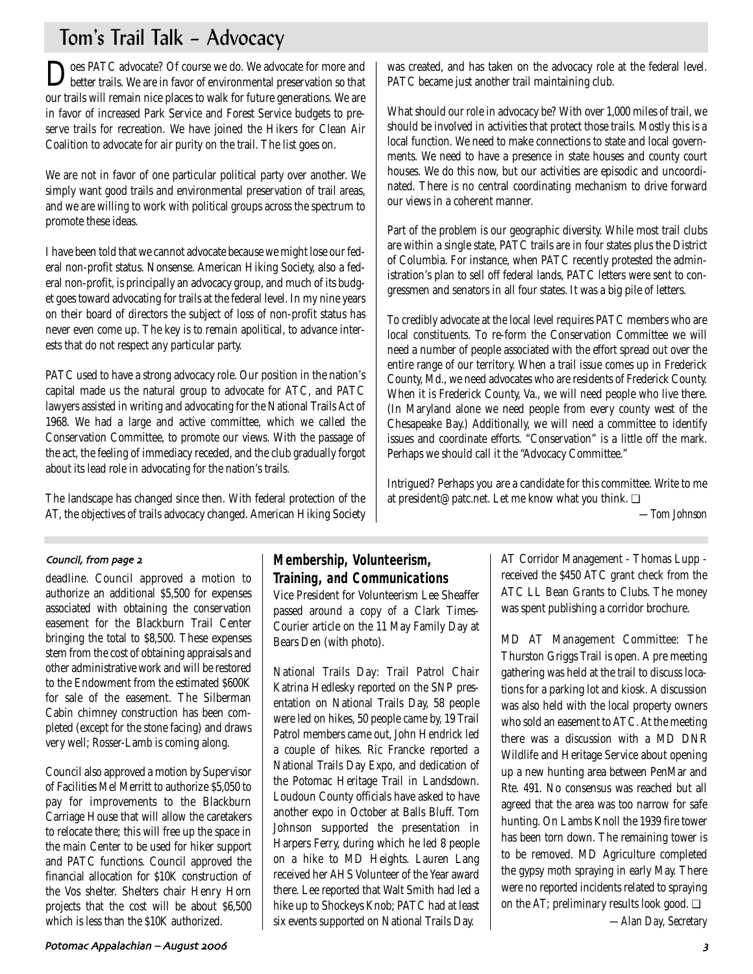# Tom's Trail Talk – Advocacy

Does PATC advocate? Of course we do. We advocate for more and better trails. We are in favor of environmental preservation so that our trails will remain nice places to walk for future generations. We are in favor of increased Park Service and Forest Service budgets to preserve trails for recreation. We have joined the Hikers for Clean Air Coalition to advocate for air purity on the trail. The list goes on.

We are not in favor of one particular political party over another. We simply want good trails and environmental preservation of trail areas, and we are willing to work with political groups across the spectrum to promote these ideas.

I have been told that we cannot advocate because we might lose our federal non-profit status. Nonsense. American Hiking Society, also a federal non-profit, is principally an advocacy group, and much of its budget goes toward advocating for trails at the federal level. In my nine years on their board of directors the subject of loss of non-profit status has never even come up. The key is to remain apolitical, to advance interests that do not respect any particular party.

PATC used to have a strong advocacy role. Our position in the nation's capital made us the natural group to advocate for ATC, and PATC lawyers assisted in writing and advocating for the National Trails Act of 1968. We had a large and active committee, which we called the Conservation Committee, to promote our views. With the passage of the act, the feeling of immediacy receded, and the club gradually forgot about its lead role in advocating for the nation's trails.

The landscape has changed since then. With federal protection of the AT, the objectives of trails advocacy changed. American Hiking Society was created, and has taken on the advocacy role at the federal level. PATC became just another trail maintaining club.

What should our role in advocacy be? With over 1,000 miles of trail, we should be involved in activities that protect those trails. Mostly this is a local function. We need to make connections to state and local governments. We need to have a presence in state houses and county court houses. We do this now, but our activities are episodic and uncoordinated. There is no central coordinating mechanism to drive forward our views in a coherent manner.

Part of the problem is our geographic diversity. While most trail clubs are within a single state, PATC trails are in four states plus the District of Columbia. For instance, when PATC recently protested the administration's plan to sell off federal lands, PATC letters were sent to congressmen and senators in all four states. It was a big pile of letters.

To credibly advocate at the local level requires PATC members who are local constituents. To re-form the Conservation Committee we will need a number of people associated with the effort spread out over the entire range of our territory. When a trail issue comes up in Frederick County, Md., we need advocates who are residents of Frederick County. When it is Frederick County, Va., we will need people who live there. (In Maryland alone we need people from every county west of the Chesapeake Bay.) Additionally, we will need a committee to identify issues and coordinate efforts. "Conservation" is a little off the mark. Perhaps we should call it the "Advocacy Committee."

Intrigued? Perhaps you are a candidate for this committee. Write to me at president@patc.net. Let me know what you think. ❏

*—Tom Johnson*

### Council, from page 2

deadline. Council approved a motion to authorize an additional \$5,500 for expenses associated with obtaining the conservation easement for the Blackburn Trail Center bringing the total to \$8,500. These expenses stem from the cost of obtaining appraisals and other administrative work and will be restored to the Endowment from the estimated \$600K for sale of the easement. The Silberman Cabin chimney construction has been completed (except for the stone facing) and draws very well; Rosser-Lamb is coming along.

Council also approved a motion by Supervisor of Facilities Mel Merritt to authorize \$5,050 to pay for improvements to the Blackburn Carriage House that will allow the caretakers to relocate there; this will free up the space in the main Center to be used for hiker support and PATC functions. Council approved the financial allocation for \$10K construction of the Vos shelter. Shelters chair Henry Horn projects that the cost will be about \$6,500 which is less than the \$10K authorized.

# **Membership, Volunteerism, Training, and Communications**

Vice President for Volunteerism Lee Sheaffer passed around a copy of a Clark Times-Courier article on the 11 May Family Day at Bears Den (with photo).

National Trails Day: Trail Patrol Chair Katrina Hedlesky reported on the SNP presentation on National Trails Day, 58 people were led on hikes, 50 people came by, 19 Trail Patrol members came out, John Hendrick led a couple of hikes. Ric Francke reported a National Trails Day Expo, and dedication of the Potomac Heritage Trail in Landsdown. Loudoun County officials have asked to have another expo in October at Balls Bluff. Tom Johnson supported the presentation in Harpers Ferry, during which he led 8 people on a hike to MD Heights. Lauren Lang received her AHS Volunteer of the Year award there. Lee reported that Walt Smith had led a hike up to Shockeys Knob; PATC had at least six events supported on National Trails Day.

AT Corridor Management - Thomas Lupp received the \$450 ATC grant check from the ATC LL Bean Grants to Clubs. The money was spent publishing a corridor brochure.

MD AT Management Committee: The Thurston Griggs Trail is open. A pre meeting gathering was held at the trail to discuss locations for a parking lot and kiosk. A discussion was also held with the local property owners who sold an easement to ATC. At the meeting there was a discussion with a MD DNR Wildlife and Heritage Service about opening up a new hunting area between PenMar and Rte. 491. No consensus was reached but all agreed that the area was too narrow for safe hunting. On Lambs Knoll the 1939 fire tower has been torn down. The remaining tower is to be removed. MD Agriculture completed the gypsy moth spraying in early May. There were no reported incidents related to spraying on the AT; preliminary results look good. ❏

*—Alan Day, Secretary*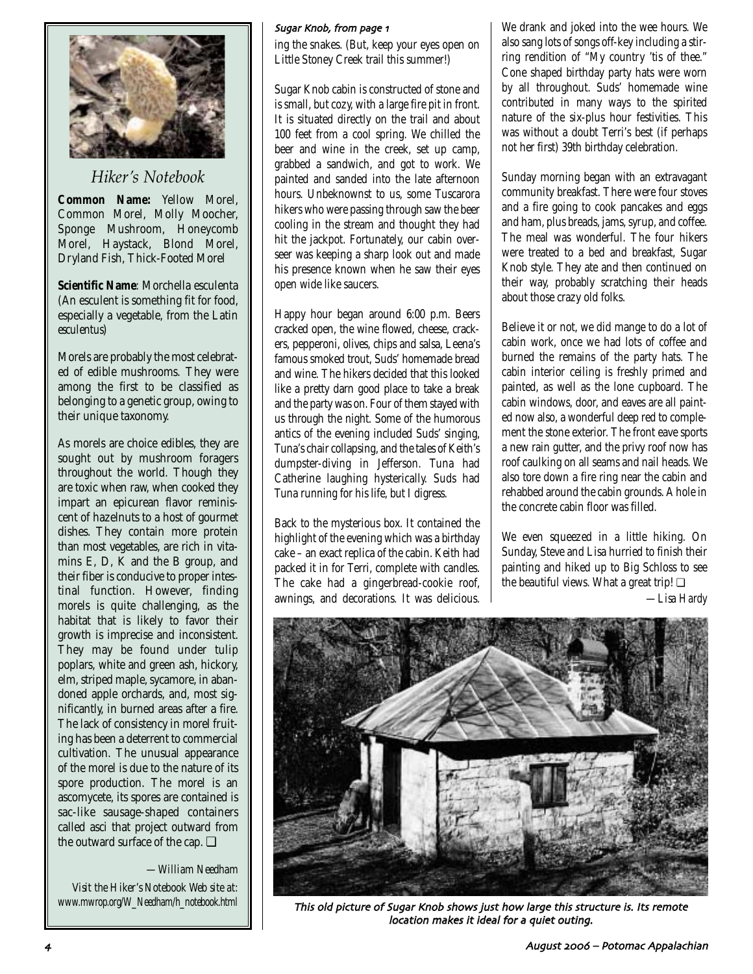

*Hiker's Notebook*

**Common Name:** Yellow Morel, Common Morel, Molly Moocher, Sponge Mushroom, Honeycomb Morel, Haystack, Blond Morel, Dryland Fish, Thick-Footed Morel

**Scientific Name**: Morchella esculenta (An esculent is something fit for food, especially a vegetable, from the Latin *esculentus*)

Morels are probably the most celebrated of edible mushrooms. They were among the first to be classified as belonging to a genetic group, owing to their unique taxonomy.

As morels are choice edibles, they are sought out by mushroom foragers throughout the world. Though they are toxic when raw, when cooked they impart an epicurean flavor reminiscent of hazelnuts to a host of gourmet dishes. They contain more protein than most vegetables, are rich in vitamins E, D,  $\breve{K}$  and the B group, and their fiber is conducive to proper intestinal function. However, finding morels is quite challenging, as the habitat that is likely to favor their growth is imprecise and inconsistent. They may be found under tulip poplars, white and green ash, hickory, elm, striped maple, sycamore, in abandoned apple orchards, and, most significantly, in burned areas after a fire. The lack of consistency in morel fruiting has been a deterrent to commercial cultivation. The unusual appearance of the morel is due to the nature of its spore production. The morel is an ascomycete, its spores are contained is sac-like sausage-shaped containers called asci that project outward from the outward surface of the cap.  $\Box$ 

### *—William Needham*

*Visit the Hiker's Notebook Web site at:*

### Sugar Knob, from page 1

ing the snakes. (But, keep your eyes open on Little Stoney Creek trail this summer!)

Sugar Knob cabin is constructed of stone and is small, but cozy, with a large fire pit in front. It is situated directly on the trail and about 100 feet from a cool spring. We chilled the beer and wine in the creek, set up camp, grabbed a sandwich, and got to work. We painted and sanded into the late afternoon hours. Unbeknownst to us, some Tuscarora hikers who were passing through saw the beer cooling in the stream and thought they had hit the jackpot. Fortunately, our cabin overseer was keeping a sharp look out and made his presence known when he saw their eyes open wide like saucers.

Happy hour began around 6:00 p.m. Beers cracked open, the wine flowed, cheese, crackers, pepperoni, olives, chips and salsa, Leena's famous smoked trout, Suds' homemade bread and wine. The hikers decided that this looked like a pretty darn good place to take a break and the party was on. Four of them stayed with us through the night. Some of the humorous antics of the evening included Suds' singing, Tuna's chair collapsing, and the tales of Keith's dumpster-diving in Jefferson. Tuna had Catherine laughing hysterically. Suds had Tuna running for his life, but I digress.

Back to the mysterious box. It contained the highlight of the evening which was a birthday cake – an exact replica of the cabin. Keith had packed it in for Terri, complete with candles. The cake had a gingerbread-cookie roof, awnings, and decorations. It was delicious. We drank and joked into the wee hours. We also sang lots of songs off-key including a stirring rendition of "My country 'tis of thee." Cone shaped birthday party hats were worn by all throughout. Suds' homemade wine contributed in many ways to the spirited nature of the six-plus hour festivities. This was without a doubt Terri's best (if perhaps not her first) 39th birthday celebration.

Sunday morning began with an extravagant community breakfast. There were four stoves and a fire going to cook pancakes and eggs and ham, plus breads, jams, syrup, and coffee. The meal was wonderful. The four hikers were treated to a bed and breakfast, Sugar Knob style. They ate and then continued on their way, probably scratching their heads about those crazy old folks.

Believe it or not, we did mange to do a lot of cabin work, once we had lots of coffee and burned the remains of the party hats. The cabin interior ceiling is freshly primed and painted, as well as the lone cupboard. The cabin windows, door, and eaves are all painted now also, a wonderful deep red to complement the stone exterior. The front eave sports a new rain gutter, and the privy roof now has roof caulking on all seams and nail heads. We also tore down a fire ring near the cabin and rehabbed around the cabin grounds. A hole in the concrete cabin floor was filled.

We even squeezed in a little hiking. On Sunday, Steve and Lisa hurried to finish their painting and hiked up to Big Schloss to see the beautiful views. What a great trip!  $\square$ *—Lisa Hardy*



This old picture of Sugar Knob shows just how large this structure is. Its remote location makes it ideal for a quiet outing.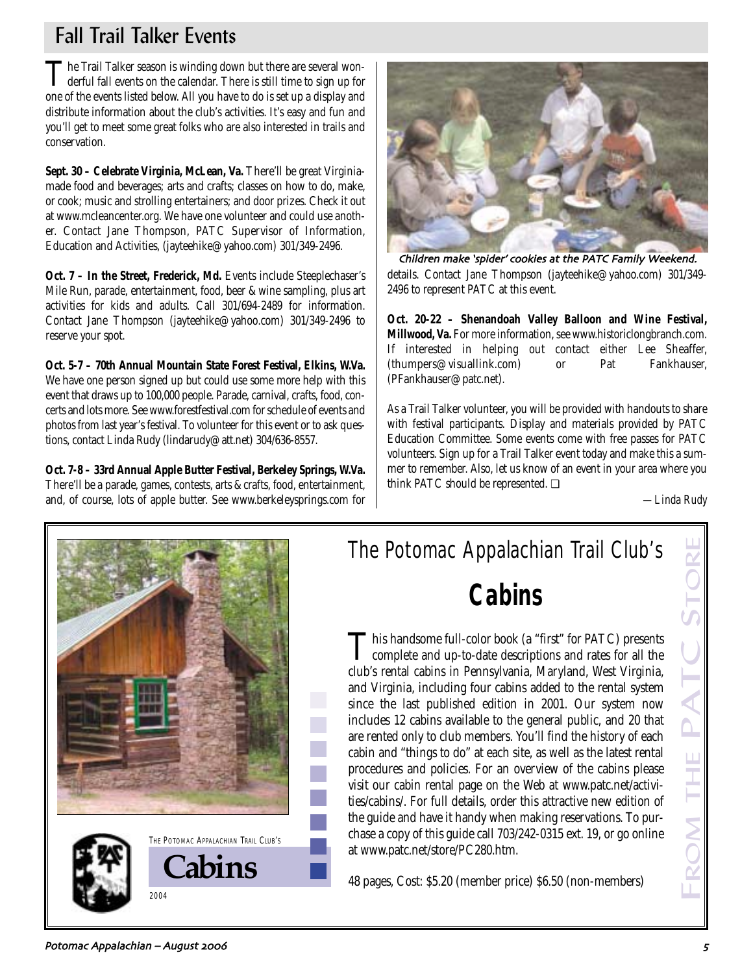# Fall Trail Talker Events

The Trail Talker season is winding down but there are several won-<br>derful fall events on the calendar. There is still time to sign up for one of the events listed below. All you have to do is set up a display and distribute information about the club's activities. It's easy and fun and you'll get to meet some great folks who are also interested in trails and conservation.

**Sept. 30 – Celebrate Virginia, McLean, Va.** There'll be great Virginiamade food and beverages; arts and crafts; classes on how to do, make, or cook; music and strolling entertainers; and door prizes. Check it out at www.mcleancenter.org. We have one volunteer and could use another. Contact Jane Thompson, PATC Supervisor of Information, Education and Activities, (jayteehike@yahoo.com) 301/349-2496.

**Oct. 7 – In the Street, Frederick, Md.** Events include Steeplechaser's Mile Run, parade, entertainment, food, beer & wine sampling, plus art activities for kids and adults. Call 301/694-2489 for information. Contact Jane Thompson (jayteehike@yahoo.com) 301/349-2496 to reserve your spot.

**Oct. 5-7 – 70th Annual Mountain State Forest Festival, Elkins, W.Va.** We have one person signed up but could use some more help with this event that draws up to 100,000 people. Parade, carnival, crafts, food, concerts and lots more. See www.forestfestival.com for schedule of events and photos from last year's festival. To volunteer for this event or to ask questions, contact Linda Rudy (lindarudy@att.net) 304/636-8557.

**Oct. 7-8 – 33rd Annual Apple Butter Festival, Berkeley Springs, W.Va.** There'll be a parade, games, contests, arts & crafts, food, entertainment, and, of course, lots of apple butter. See www.berkeleysprings.com for



details. Contact Jane Thompson (jayteehike@yahoo.com) 301/349- 2496 to represent PATC at this event. Children make 'spider' cookies at the PATC Family Weekend

**Oct. 20-22 – Shenandoah Valley Balloon and Wine Festival, Millwood, Va.** For more information, see www.historiclongbranch.com. If interested in helping out contact either Lee Sheaffer, (thumpers@visuallink.com) or Pat Fankhauser, (PFankhauser@patc.net).

As a Trail Talker volunteer, you will be provided with handouts to share with festival participants. Display and materials provided by PATC Education Committee. Some events come with free passes for PATC volunteers. Sign up for a Trail Talker event today and make this a summer to remember. Also, let us know of an event in your area where you think PATC should be represented. ❏

*—Linda Rudy*

FROM THE PATC STORE

**DM THE PATC** 



# The Potomac Appalachian Trail Club's **Cabins**

This handsome full-color book (a "first" for PATC) presents<br>complete and up-to-date descriptions and rates for all the club's rental cabins in Pennsylvania, Maryland, West Virginia, and Virginia, including four cabins added to the rental system since the last published edition in 2001. Our system now includes 12 cabins available to the general public, and 20 that are rented only to club members. You'll find the history of each cabin and "things to do" at each site, as well as the latest rental procedures and policies. For an overview of the cabins please visit our cabin rental page on the Web at www.patc.net/activities/cabins/. For full details, order this attractive new edition of the guide and have it handy when making reservations. To purchase a copy of this guide call 703/242-0315 ext. 19, or go online at www.patc.net/store/PC280.htm.

48 pages, Cost: \$5.20 (member price) \$6.50 (non-members)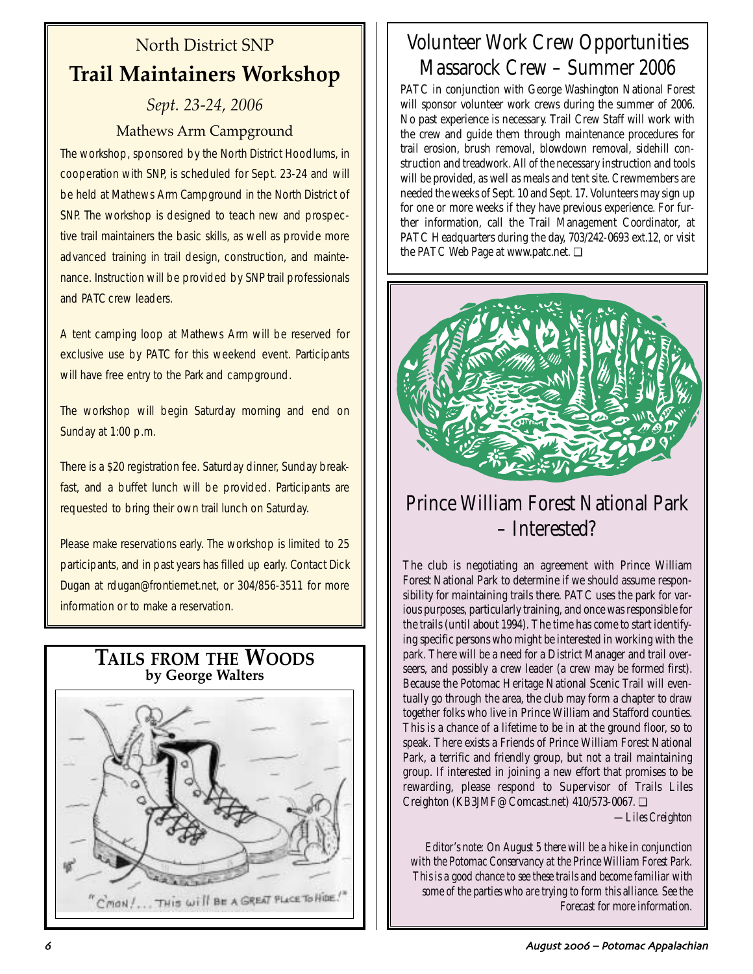# North District SNP **Trail Maintainers Workshop**

# *Sept. 23-24, 2006* Mathews Arm Campground

The workshop, sponsored by the North District Hoodlums, in cooperation with SNP, is scheduled for Sept. 23-24 and will be held at Mathews Arm Campground in the North District of SNP. The workshop is designed to teach new and prospective trail maintainers the basic skills, as well as provide more advanced training in trail design, construction, and maintenance. Instruction will be provided by SNP trail professionals and PATC crew leaders.

A tent camping loop at Mathews Arm will be reserved for exclusive use by PATC for this weekend event. Participants will have free entry to the Park and campground.

The workshop will begin Saturday morning and end on Sunday at 1:00 p.m.

There is a \$20 registration fee. Saturday dinner, Sunday breakfast, and a buffet lunch will be provided. Participants are requested to bring their own trail lunch on Saturday.

Please make reservations early. The workshop is limited to 25 participants, and in past years has filled up early. Contact Dick Dugan at rdugan@frontiernet.net, or 304/856-3511 for more information or to make a reservation.



# Volunteer Work Crew Opportunities Massarock Crew – Summer 2006

PATC in conjunction with George Washington National Forest will sponsor volunteer work crews during the summer of 2006. No past experience is necessary. Trail Crew Staff will work with the crew and guide them through maintenance procedures for trail erosion, brush removal, blowdown removal, sidehill construction and treadwork. All of the necessary instruction and tools will be provided, as well as meals and tent site. Crewmembers are needed the weeks of Sept. 10 and Sept. 17. Volunteers may sign up for one or more weeks if they have previous experience. For further information, call the Trail Management Coordinator, at PATC Headquarters during the day, 703/242-0693 ext.12, or visit the PATC Web Page at www.patc.net. ❏



# Prince William Forest National Park – Interested?

The club is negotiating an agreement with Prince William Forest National Park to determine if we should assume responsibility for maintaining trails there. PATC uses the park for various purposes, particularly training, and once was responsible for the trails (until about 1994). The time has come to start identifying specific persons who might be interested in working with the park. There will be a need for a District Manager and trail overseers, and possibly a crew leader (a crew may be formed first). Because the Potomac Heritage National Scenic Trail will eventually go through the area, the club may form a chapter to draw together folks who live in Prince William and Stafford counties. This is a chance of a lifetime to be in at the ground floor, so to speak. There exists a Friends of Prince William Forest National Park, a terrific and friendly group, but not a trail maintaining group. If interested in joining a new effort that promises to be rewarding, please respond to Supervisor of Trails Liles Creighton (KB3JMF@Comcast.net) 410/573-0067. ❏

*—Liles Creighton*

*Editor's note: On August 5 there will be a hike in conjunction with the Potomac Conservancy at the Prince William Forest Park. This is a good chance to see these trails and become familiar with some of the parties who are trying to form this alliance. See the Forecast for more information.*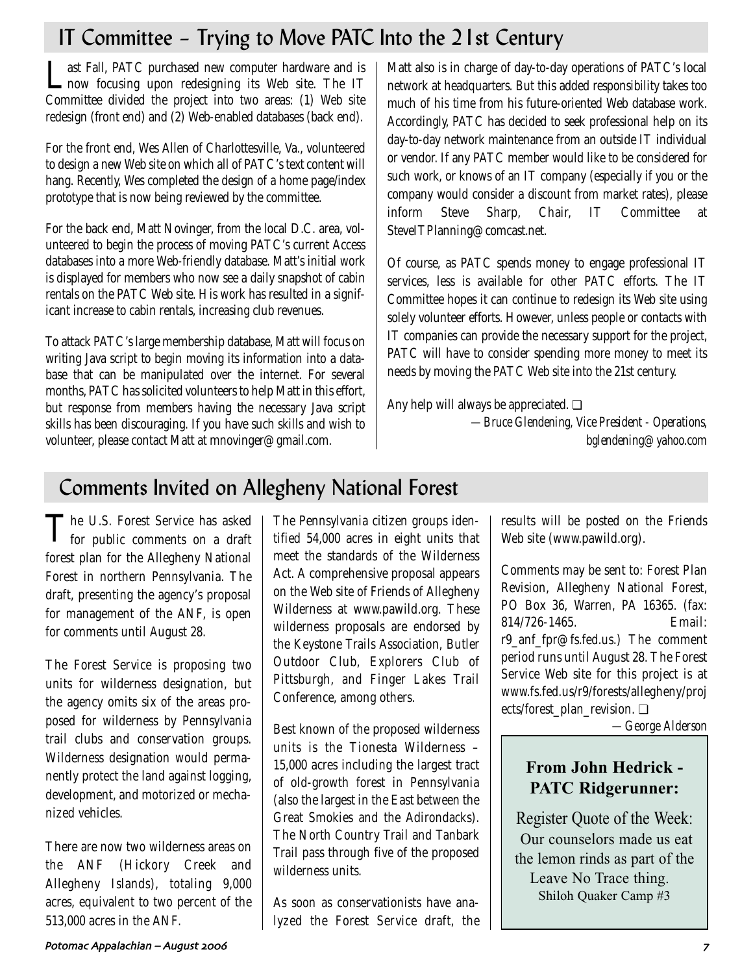# IT Committee – Trying to Move PATC Into the 21st Century

Last Fall, PATC purchased new computer hardware and is now focusing upon redesigning its Web site. The IT Committee divided the project into two areas: (1) Web site redesign (front end) and (2) Web-enabled databases (back end).

For the front end, Wes Allen of Charlottesville, Va., volunteered to design a new Web site on which all of PATC's text content will hang. Recently, Wes completed the design of a home page/index prototype that is now being reviewed by the committee.

For the back end, Matt Novinger, from the local D.C. area, volunteered to begin the process of moving PATC's current Access databases into a more Web-friendly database. Matt's initial work is displayed for members who now see a daily snapshot of cabin rentals on the PATC Web site. His work has resulted in a significant increase to cabin rentals, increasing club revenues.

To attack PATC's large membership database, Matt will focus on writing Java script to begin moving its information into a database that can be manipulated over the internet. For several months, PATC has solicited volunteers to help Matt in this effort, but response from members having the necessary Java script skills has been discouraging. If you have such skills and wish to volunteer, please contact Matt at mnovinger@gmail.com.

Matt also is in charge of day-to-day operations of PATC's local network at headquarters. But this added responsibility takes too much of his time from his future-oriented Web database work. Accordingly, PATC has decided to seek professional help on its day-to-day network maintenance from an outside IT individual or vendor. If any PATC member would like to be considered for such work, or knows of an IT company (especially if you or the company would consider a discount from market rates), please inform Steve Sharp, Chair, IT Committee at SteveITPlanning@comcast.net.

Of course, as PATC spends money to engage professional IT services, less is available for other PATC efforts. The IT Committee hopes it can continue to redesign its Web site using solely volunteer efforts. However, unless people or contacts with IT companies can provide the necessary support for the project, PATC will have to consider spending more money to meet its needs by moving the PATC Web site into the 21st century.

Any help will always be appreciated. ❏

*—Bruce Glendening, Vice President - Operations, bglendening@yahoo.com*

# Comments Invited on Allegheny National Forest

The U.S. Forest Service has asked for public comments on a draft forest plan for the Allegheny National Forest in northern Pennsylvania. The draft, presenting the agency's proposal for management of the ANF, is open for comments until August 28.

The Forest Service is proposing two units for wilderness designation, but the agency omits six of the areas proposed for wilderness by Pennsylvania trail clubs and conservation groups. Wilderness designation would permanently protect the land against logging, development, and motorized or mechanized vehicles.

There are now two wilderness areas on the ANF (Hickory Creek and Allegheny Islands), totaling 9,000 acres, equivalent to two percent of the 513,000 acres in the ANF.

The Pennsylvania citizen groups identified 54,000 acres in eight units that meet the standards of the Wilderness Act. A comprehensive proposal appears on the Web site of Friends of Allegheny Wilderness at www.pawild.org. These wilderness proposals are endorsed by the Keystone Trails Association, Butler Outdoor Club, Explorers Club of Pittsburgh, and Finger Lakes Trail Conference, among others.

Best known of the proposed wilderness units is the Tionesta Wilderness – 15,000 acres including the largest tract of old-growth forest in Pennsylvania (also the largest in the East between the Great Smokies and the Adirondacks). The North Country Trail and Tanbark Trail pass through five of the proposed wilderness units.

As soon as conservationists have analyzed the Forest Service draft, the results will be posted on the Friends Web site (www.pawild.org).

Comments may be sent to: Forest Plan Revision, Allegheny National Forest, PO Box 36, Warren, PA 16365. (fax: 814/726-1465. Email: r9\_anf\_fpr@fs.fed.us.) The comment period runs until August 28. The Forest Service Web site for this project is at www.fs.fed.us/r9/forests/allegheny/proj ects/forest\_plan\_revision. ❏

*—George Alderson*

# **From John Hedrick - PATC Ridgerunner:**

Register Quote of the Week: Our counselors made us eat the lemon rinds as part of the Leave No Trace thing. Shiloh Quaker Camp #3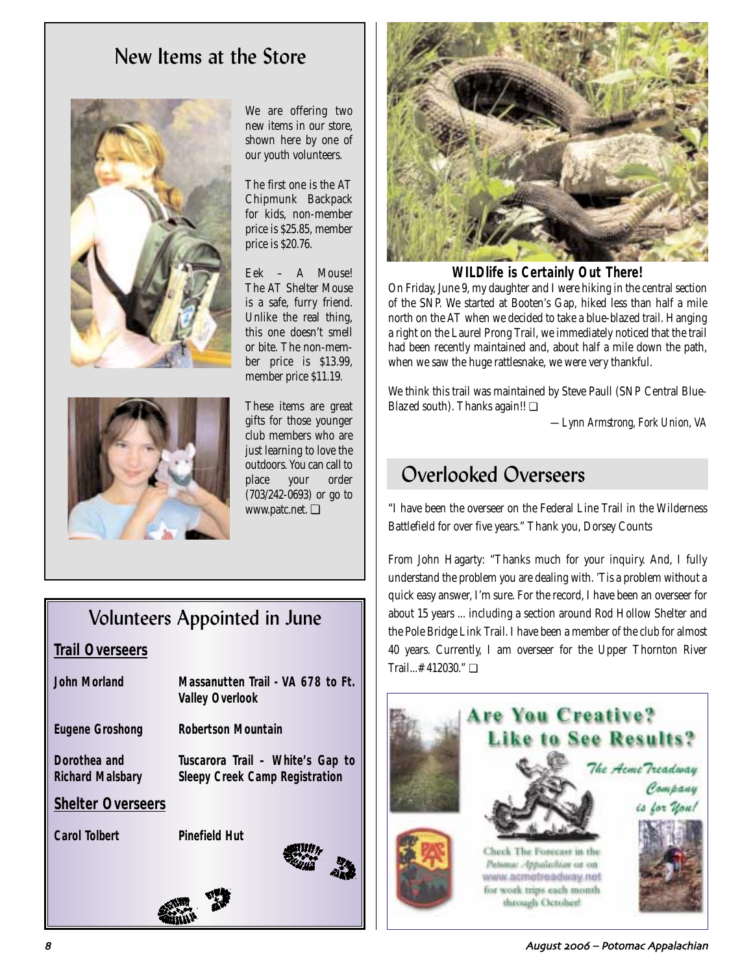# New Items at the Store





We are offering two new items in our store, shown here by one of our youth volunteers.

The first one is the AT Chipmunk Backpack for kids, non-member price is \$25.85, member price is \$20.76.

Eek – A Mouse! The AT Shelter Mouse is a safe, furry friend. Unlike the real thing, this one doesn't smell or bite. The non-member price is \$13.99, member price \$11.19.

These items are great gifts for those younger club members who are just learning to love the outdoors. You can call to place your order (703/242-0693) or go to www.patc.net. ❏

# Volunteers Appointed in June

# **Trail Overseers**

| Massanutten Trail - VA 678 to Ft.<br><b>Valley Overlook</b>               |
|---------------------------------------------------------------------------|
| <b>Robertson Mountain</b>                                                 |
| Tuscarora Trail – White's Gap to<br><b>Sleepy Creek Camp Registration</b> |
|                                                                           |
| <b>Pinefield Hut</b>                                                      |
|                                                                           |



**WILDlife** *is* **Certainly Out There!**

On Friday, June 9, my daughter and I were hiking in the central section of the SNP. We started at Booten's Gap, hiked less than half a mile north on the AT when we decided to take a blue-blazed trail. Hanging a right on the Laurel Prong Trail, we immediately noticed that the trail had been recently maintained and, about half a mile down the path, when we saw the huge rattlesnake, we were very thankful.

We think this trail was maintained by Steve Paull (SNP Central Blue-Blazed south). Thanks again!! ❏

*—Lynn Armstrong, Fork Union, VA*

# Overlooked Overseers

"I have been the overseer on the Federal Line Trail in the Wilderness Battlefield for over five years." Thank you, Dorsey Counts

From John Hagarty: "Thanks much for your inquiry. And, I fully understand the problem you are dealing with. 'Tis a problem without a quick easy answer, I'm sure. For the record, I have been an overseer for about 15 years ... including a section around Rod Hollow Shelter and the Pole Bridge Link Trail. I have been a member of the club for almost 40 years. Currently, I am overseer for the Upper Thornton River Trail...#412030." ❏



4 August 2006 – Potomac Appalachian و August 2006 – Potomac Appalachian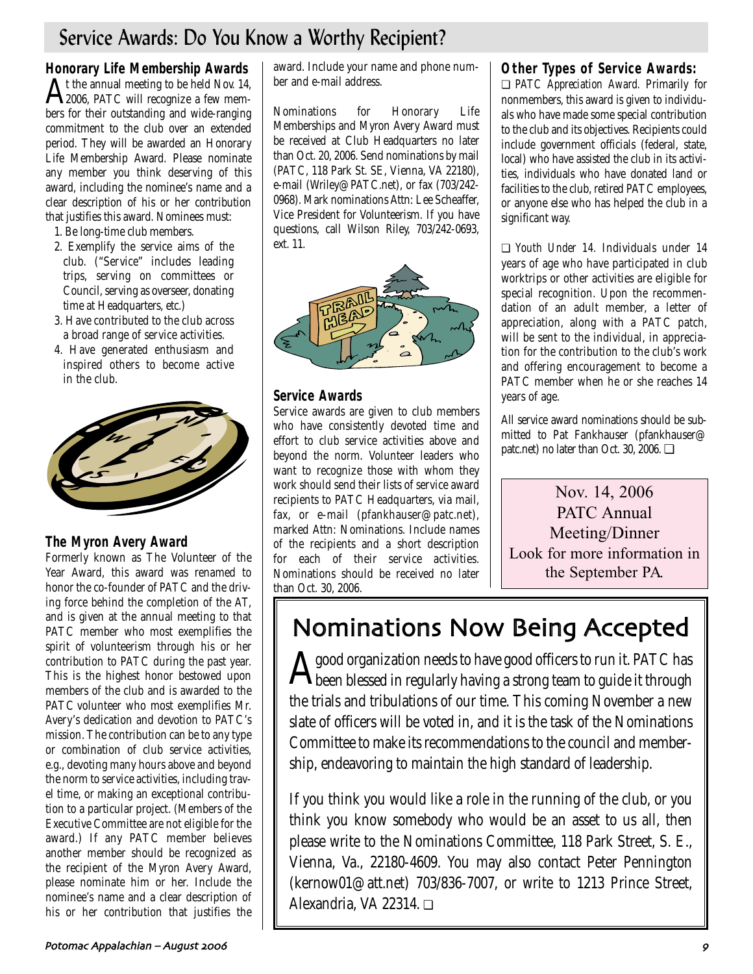# Service Awards: Do You Know a Worthy Recipient?

**Honorary Life Membership Awards**   ${\rm A}$ t the annual meeting to be held Nov. 14,  $_{2006,~{\rm PATC}}$  will recognize a few members for their outstanding and wide-ranging commitment to the club over an extended period. They will be awarded an Honorary Life Membership Award. Please nominate any member you think deserving of this award, including the nominee's name and a clear description of his or her contribution that justifies this award. Nominees must:

- 1. Be long-time club members.
- 2. Exemplify the service aims of the club. ("Service" includes leading trips, serving on committees or Council, serving as overseer, donating time at Headquarters, etc.)
- 3. Have contributed to the club across a broad range of service activities.
- 4. Have generated enthusiasm and inspired others to become active in the club.



# **The Myron Avery Award**

Formerly known as The Volunteer of the Year Award, this award was renamed to honor the co-founder of PATC and the driving force behind the completion of the AT, and is given at the annual meeting to that PATC member who most exemplifies the spirit of volunteerism through his or her contribution to PATC during the past year. This is the highest honor bestowed upon members of the club and is awarded to the PATC volunteer who most exemplifies Mr. Avery's dedication and devotion to PATC's mission. The contribution can be to any type or combination of club service activities, e.g., devoting many hours above and beyond the norm to service activities, including travel time, or making an exceptional contribution to a particular project. (Members of the Executive Committee are not eligible for the award.) If any PATC member believes another member should be recognized as the recipient of the Myron Avery Award, please nominate him or her. Include the nominee's name and a clear description of his or her contribution that justifies the

award. Include your name and phone number and e-mail address.

Nominations for Honorary Life Memberships and Myron Avery Award must be received at Club Headquarters no later than Oct. 20, 2006. Send nominations by mail (PATC, 118 Park St. SE, Vienna, VA 22180), e-mail (Wriley@PATC.net), or fax (703/242- 0968). Mark nominations Attn: Lee Scheaffer, Vice President for Volunteerism. If you have questions, call Wilson Riley, 703/242-0693, ext. 11.



# **Service Awards**

Service awards are given to club members who have consistently devoted time and effort to club service activities above and beyond the norm. Volunteer leaders who want to recognize those with whom they work should send their lists of service award recipients to PATC Headquarters, via mail, fax, or e-mail (pfankhauser@patc.net), marked Attn: Nominations. Include names of the recipients and a short description for each of their service activities. Nominations should be received no later than Oct. 30, 2006.

# **Other Types of Service Awards:**

❏ *PATC Appreciation Award.* Primarily for nonmembers, this award is given to individuals who have made some special contribution to the club and its objectives. Recipients could include government officials (federal, state, local) who have assisted the club in its activities, individuals who have donated land or facilities to the club, retired PATC employees, or anyone else who has helped the club in a significant way.

❏ *Youth Under 14.* Individuals under 14 years of age who have participated in club worktrips or other activities are eligible for special recognition. Upon the recommendation of an adult member, a letter of appreciation, along with a PATC patch, will be sent to the individual, in appreciation for the contribution to the club's work and offering encouragement to become a PATC member when he or she reaches 14 years of age.

All service award nominations should be submitted to Pat Fankhauser (pfankhauser@ patc.net) no later than Oct. 30, 2006. ❏

Nov. 14, 2006 PATC Annual Meeting/Dinner Look for more information in the September PA.

# Nominations Now Being Accepted

 $\bigwedge$  good organization needs to have good officers to run it. PATC has<br>been blessed in regularly having a strong team to guide it through the trials and tribulations of our time. This coming November a new slate of officers will be voted in, and it is the task of the Nominations Committee to make its recommendations to the council and membership, endeavoring to maintain the high standard of leadership.

If you think you would like a role in the running of the club, or you think you know somebody who would be an asset to us all, then please write to the Nominations Committee, 118 Park Street, S. E., Vienna, Va., 22180-4609. You may also contact Peter Pennington (kernow01@att.net) 703/836-7007, or write to 1213 Prince Street, Alexandria, VA 22314. ❏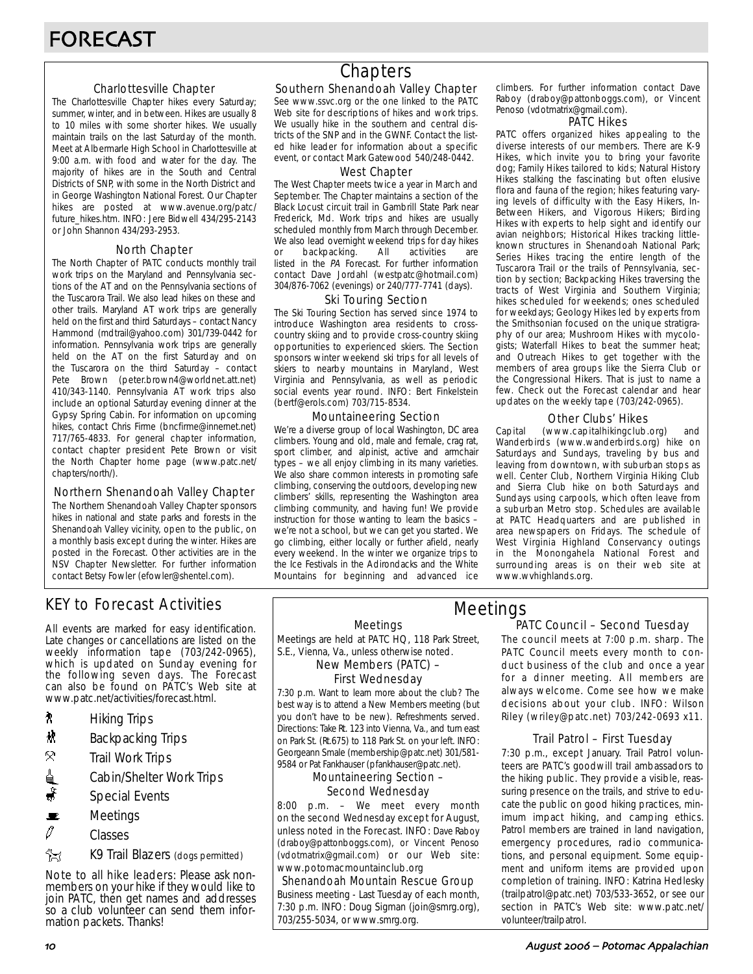### Charlottesville Chapter

The Charlottesville Chapter hikes every Saturday; summer, winter, and in between. Hikes are usually 8 to 10 miles with some shorter hikes. We usually maintain trails on the last Saturday of the month. Meet at Albermarle High School in Charlottesville at 9:00 a.m. with food and water for the day. The majority of hikes are in the South and Central Districts of SNP, with some in the North District and in George Washington National Forest. Our Chapter hikes are posted at www.avenue.org/patc/ future\_hikes.htm. INFO: Jere Bidwell 434/295-2143 or John Shannon 434/293-2953.

### North Chapter

The North Chapter of PATC conducts monthly trail work trips on the Maryland and Pennsylvania sections of the AT and on the Pennsylvania sections of the Tuscarora Trail. We also lead hikes on these and other trails. Maryland AT work trips are generally held on the first and third Saturdays – contact Nancy Hammond (mdtrail@yahoo.com) 301/739-0442 for information. Pennsylvania work trips are generally held on the AT on the first Saturday and on the Tuscarora on the third Saturday – contact Pete Brown (peter.brown4@worldnet.att.net) 410/343-1140. Pennsylvania AT work trips also include an optional Saturday evening dinner at the Gypsy Spring Cabin. For information on upcoming hikes, contact Chris Firme (bncfirme@innernet.net) 717/765-4833. For general chapter information, contact chapter president Pete Brown or visit the North Chapter home page (www.patc.net/ chapters/north/).

### Northern Shenandoah Valley Chapter

The Northern Shenandoah Valley Chapter sponsors hikes in national and state parks and forests in the Shenandoah Valley vicinity, open to the public, on a monthly basis except during the winter. Hikes are posted in the Forecast. Other activities are in the NSV Chapter Newsletter. For further information contact Betsy Fowler (efowler@shentel.com).

# KEY to Forecast Activities

All events are marked for easy identification. Late changes or cancellations are listed on the weekly information tape (703/242-0965), which is updated on Sunday evening for the following seven days. The Forecast can also be found on PATC's Web site at www.patc.net/activities/forecast.html.

- **A** Hiking Trips
- $\mathbf{\ddot{x}}$  Backpacking Trips
- $\mathcal{R}$  Trail Work Trips
- <u>d</u> Cabin/Shelter Work Trips
- $\ddot{\bullet}$  Special Events
- $\mathbf{E}$  Meetings
- $\mathscr O$  Classes
- **EX** K9 Trail Blazers (dogs permitted)

Note to all hike leaders: Please ask nonmembers on your hike if they would like to join PATC, then get names and addresses so a club volunteer can send them information packets. Thanks!

# **Chapters**

### Southern Shenandoah Valley Chapter

See www.ssvc.org or the one linked to the PATC Web site for descriptions of hikes and work trips. We usually hike in the southern and central districts of the SNP and in the GWNF. Contact the listed hike leader for information about a specific event, or contact Mark Gatewood 540/248-0442.

#### West Chapter

The West Chapter meets twice a year in March and September. The Chapter maintains a section of the Black Locust circuit trail in Gambrill State Park near Frederick, Md. Work trips and hikes are usually scheduled monthly from March through December. We also lead overnight weekend trips for day hikes or backpacking. All activities are listed in the PA Forecast. For further information contact Dave Jordahl (westpatc@hotmail.com) 304/876-7062 (evenings) or 240/777-7741 (days).

#### Ski Touring Section

The Ski Touring Section has served since 1974 to introduce Washington area residents to crosscountry skiing and to provide cross-country skiing opportunities to experienced skiers. The Section sponsors winter weekend ski trips for all levels of skiers to nearby mountains in Maryland, West Virginia and Pennsylvania, as well as periodic social events year round. INFO: Bert Finkelstein (bertf@erols.com) 703/715-8534.

### Mountaineering Section

We're a diverse group of local Washington, DC area climbers. Young and old, male and female, crag rat, sport climber, and alpinist, active and armchair types – we all enjoy climbing in its many varieties. We also share common interests in promoting safe climbing, conserving the outdoors, developing new climbers' skills, representing the Washington area climbing community, and having fun! We provide instruction for those wanting to learn the basics – we're not a school, but we can get you started. We go climbing, either locally or further afield, nearly every weekend. In the winter we organize trips to the Ice Festivals in the Adirondacks and the White Mountains for beginning and advanced ice

climbers. For further information contact Dave Raboy (draboy@pattonboggs.com), or Vincent Penoso (vdotmatrix@gmail.com).

#### PATC Hikes

PATC offers organized hikes appealing to the diverse interests of our members. There are K-9 Hikes, which invite you to bring your favorite dog; Family Hikes tailored to kids; Natural History Hikes stalking the fascinating but often elusive flora and fauna of the region; hikes featuring varying levels of difficulty with the Easy Hikers, In-Between Hikers, and Vigorous Hikers; Birding Hikes with experts to help sight and identify our avian neighbors; Historical Hikes tracking littleknown structures in Shenandoah National Park; Series Hikes tracing the entire length of the Tuscarora Trail or the trails of Pennsylvania, section by section; Backpacking Hikes traversing the tracts of West Virginia and Southern Virginia; hikes scheduled for weekends; ones scheduled for weekdays; Geology Hikes led by experts from the Smithsonian focused on the unique stratigraphy of our area; Mushroom Hikes with mycologists; Waterfall Hikes to beat the summer heat; and Outreach Hikes to get together with the members of area groups like the Sierra Club or the Congressional Hikers. That is just to name a few. Check out the Forecast calendar and hear updates on the weekly tape (703/242-0965).

### Other Clubs' Hikes

Capital (www.capitalhikingclub.org) and Wanderbirds (www.wanderbirds.org) hike on Saturdays and Sundays, traveling by bus and leaving from downtown, with suburban stops as well. Center Club, Northern Virginia Hiking Club and Sierra Club hike on both Saturdays and Sundays using carpools, which often leave from a suburban Metro stop. Schedules are available at PATC Headquarters and are published in area newspapers on Fridays. The schedule of West Virginia Highland Conservancy outings in the Monongahela National Forest and surrounding areas is on their web site at www.wvhighlands.org.

#### Meetings

Meetings are held at PATC HQ, 118 Park Street, S.E., Vienna, Va., unless otherwise noted.

New Members (PATC) –

# First Wednesday

7:30 p.m. Want to learn more about the club? The best way is to attend a New Members meeting (but you don't have to be new). Refreshments served. Directions: Take Rt. 123 into Vienna, Va., and turn east on Park St. (Rt.675) to 118 Park St. on your left. INFO: Georgeann Smale (membership@patc.net) 301/581- 9584 or Pat Fankhauser (pfankhauser@patc.net).

#### Mountaineering Section – Second Wednesday

8:00 p.m. – We meet every month on the second Wednesday except for August, unless noted in the Forecast. INFO: Dave Raboy (draboy@pattonboggs.com), or Vincent Penoso (vdotmatrix@gmail.com) or our Web site: www.potomacmountainclub.org

Shenandoah Mountain Rescue Group Business meeting - Last Tuesday of each month, 7:30 p.m. INFO: Doug Sigman (join@smrg.org), 703/255-5034, or www.smrg.org.

### PATC Council – Second Tuesday Meetings

The council meets at 7:00 p.m. sharp. The PATC Council meets every month to conduct business of the club and once a year for a dinner meeting. All members are always welcome. Come see how we make decisions about your club. INFO: Wilson Riley (wriley@patc.net) 703/242-0693 x11.

### Trail Patrol – First Tuesday

7:30 p.m., except January. Trail Patrol volunteers are PATC's goodwill trail ambassadors to the hiking public. They provide a visible, reassuring presence on the trails, and strive to educate the public on good hiking practices, minimum impact hiking, and camping ethics. Patrol members are trained in land navigation, emergency procedures, radio communications, and personal equipment. Some equipment and uniform items are provided upon completion of training. INFO: Katrina Hedlesky (trailpatrol@patc.net) 703/533-3652, or see our section in PATC's Web site: www.patc.net/ volunteer/trailpatrol.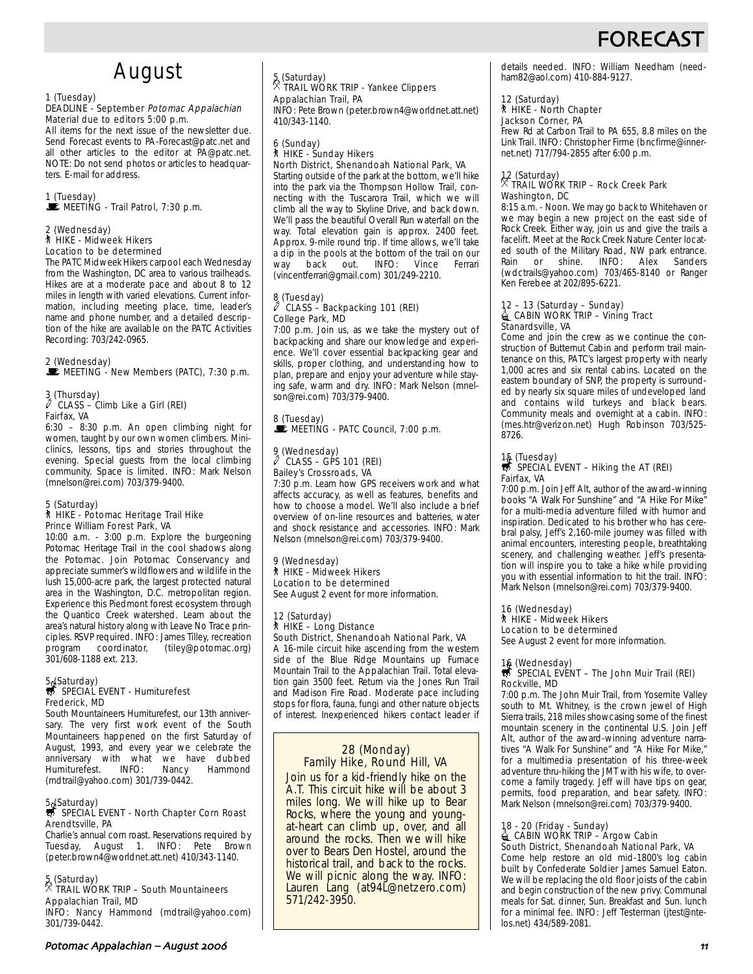# FOREC/

# August

#### 1 (Tuesday)

#### DEADLINE - September Potomac Appalachian Material due to editors 5:00 p.m.

All items for the next issue of the newsletter due. Send Forecast events to PA-Forecast@patc.net and all other articles to the editor at PA@patc.net. NOTE: Do not send photos or articles to headquarters. E-mail for address.

# 1 (Tuesday)

 $\mathbf{\dot{F}}$  MEETING - Trail Patrol, 7:30 p.m.

#### 2 (Wednesday) ` HIKE - Midweek Hikers Location to be determined

The PATC Midweek Hikers carpool each Wednesday from the Washington, DC area to various trailheads. Hikes are at a moderate pace and about 8 to 12 miles in length with varied elevations. Current information, including meeting place, time, leader's name and phone number, and a detailed description of the hike are available on the PATC Activities Recording: 703/242-0965.

### 2 (Wednesday)

MEETING - New Members (PATC), 7:30 p.m.

#### 3 (Thursday) CLASS – Climb Like a Girl (REI) Fairfax, VA

6:30 – 8:30 p.m. An open climbing night for women, taught by our own women climbers. Miniclinics, lessons, tips and stories throughout the evening. Special guests from the local climbing community. Space is limited. INFO: Mark Nelson (mnelson@rei.com) 703/379-9400.

### 5 (Saturday) ` HIKE - Potomac Heritage Trail Hike Prince William Forest Park, VA

10:00 a.m. - 3:00 p.m. Explore the burgeoning Potomac Heritage Trail in the cool shadows along the Potomac. Join Potomac Conservancy and appreciate summer's wildflowers and wildlife in the lush 15,000-acre park, the largest protected natural area in the Washington, D.C. metropolitan region. Experience this Piedmont forest ecosystem through the Quantico Creek watershed. Learn about the area's natural history along with Leave No Trace principles. RSVP required. INFO: James Tilley, recreation program coordinator, (tiley@potomac.org) 301/608-1188 ext. 213.

# 5. (Saturday)<br>
SPECIAL EVENT - Humiturefest Frederick, MD

South Mountaineers Humiturefest, our 13th anniversary. The very first work event of the South Mountaineers happened on the first Saturday of August, 1993, and every year we celebrate the anniversary with what we have dubbed<br>Humiturefest. INFO: Nancy Hammond Humiturefest. INFO: (mdtrail@yahoo.com) 301/739-0442.

# 5. (Saturday)<br>5. SPECIAL EVENT - North Chapter Corn Roast Arendtsville, PA

Charlie's annual corn roast. Reservations required by Tuesday, August 1. INFO: Pete Brown (peter.brown4@worldnet.att.net) 410/343-1140.

# 5 (Saturday) . TRAIL WORK TRIP – South Mountaineers Appalachian Trail, MD

INFO: Nancy Hammond (mdtrail@yahoo.com) 301/739-0442.

### 5 (Saturday) . TRAIL WORK TRIP - Yankee Clippers Appalachian Trail, PA

INFO: Pete Brown (peter.brown4@worldnet.att.net) 410/343-1140.

#### 6 (Sunday)

#### ` HIKE - Sunday Hikers North District, Shenandoah National Park, VA

Starting outside of the park at the bottom, we'll hike into the park via the Thompson Hollow Trail, connecting with the Tuscarora Trail, which we will climb all the way to Skyline Drive, and back down. We'll pass the beautiful Overall Run waterfall on the way. Total elevation gain is approx. 2400 feet. Approx. 9-mile round trip. If time allows, we'll take a dip in the pools at the bottom of the trail on our way back out. INFO: Vince Ferrari (vincentferrari@gmail.com) 301/249-2210.

#### $8$  (Tuesday)<br> $0$  CI ASS – CLASS – Backpacking 101 (REI) College Park, MD

7:00 p.m. Join us, as we take the mystery out of backpacking and share our knowledge and experience. We'll cover essential backpacking gear and skills, proper clothing, and understanding how to plan, prepare and enjoy your adventure while staying safe, warm and dry. INFO: Mark Nelson (mnelson@rei.com) 703/379-9400.

# 8 (Tuesday)<br>WE MEETING - PATC Council, 7:00 p.m.

# 9 (Wednesday) a CLASS – GPS 101 (REI) Bailey's Crossroads, VA

7:30 p.m. Learn how GPS receivers work and what affects accuracy, as well as features, benefits and how to choose a model. We'll also include a brief overview of on-line resources and batteries, water and shock resistance and accessories. INFO: Mark Nelson (mnelson@rei.com) 703/379-9400.

#### 9 (Wednesday) ` HIKE - Midweek Hikers Location to be determined See August 2 event for more information.

#### 12 (Saturday) ` HIKE – Long Distance South District, Shenandoah National Park, VA

A 16-mile circuit hike ascending from the western side of the Blue Ridge Mountains up Furnace Mountain Trail to the Appalachian Trail. Total elevation gain 3500 feet. Return via the Jones Run Trail and Madison Fire Road. Moderate pace including stops for flora, fauna, fungi and other nature objects of interest. Inexperienced hikers contact leader if

### 28 (Monday) Family Hike, Round Hill, VA

Join us for a kid-friendly hike on the A.T. This circuit hike will be about 3 miles long. We will hike up to Bear Rocks, where the young and youngat-heart can climb up, over, and all around the rocks. Then we will hike over to Bears Den Hostel, around the historical trail, and back to the rocks. We will picnic along the way. INFO: Lauren Lang (at94L@netzero.com) 571/242-3950.

details needed. INFO: William Needham (needham82@aol.com) 410-884-9127.

#### 12 (Saturday)

#### ` HIKE - North Chapter Jackson Corner, PA

Frew Rd at Carbon Trail to PA 655, 8.8 miles on the Link Trail. INFO: Christopher Firme (bncfirme@innernet.net) 717/794-2855 after 6:00 p.m.

# 12 (Saturday) . TRAIL WORK TRIP – Rock Creek Park Washington, DC

8:15 a.m. - Noon. We may go back to Whitehaven or we may begin a new project on the east side of Rock Creek. Either way, join us and give the trails a facelift. Meet at the Rock Creek Nature Center located south of the Military Road, NW park entrance. Rain or shine. INFO: Alex Sanders (wdctrails@yahoo.com) 703/465-8140 or Ranger Ken Ferebee at 202/895-6221.

#### 12 – 13 (Saturday – Sunday)  $\triangleq$  CABIN WORK TRIP – Vining Tract Stanardsville, VA

Come and join the crew as we continue the construction of Butternut Cabin and perform trail maintenance on this, PATC's largest property with nearly 1,000 acres and six rental cabins. Located on the eastern boundary of SNP, the property is surrounded by nearly six square miles of undeveloped land and contains wild turkeys and black bears. Community meals and overnight at a cabin. INFO: (mes.htr@verizon.net) Hugh Robinson 703/525- 8726.

# 15 (Tuesday)<br>第 SPECIAL EVENT – Hiking the AT (REI) Fairfax, VA

7:00 p.m. Join Jeff Alt, author of the award-winning books "A Walk For Sunshine" and "A Hike For Mike" for a multi-media adventure filled with humor and inspiration. Dedicated to his brother who has cerebral palsy, Jeff's 2,160-mile journey was filled with animal encounters, interesting people, breathtaking scenery, and challenging weather. Jeff's presentation will inspire you to take a hike while providing you with essential information to hit the trail. INFO: Mark Nelson (mnelson@rei.com) 703/379-9400.

### 16 (Wednesday) ` HIKE - Midweek Hikers

Location to be determined See August 2 event for more information.

# 16 (Wednesday)<br>S SPECIAL EVENT – The John Muir Trail (REI) Rockville, MD

7:00 p.m. The John Muir Trail, from Yosemite Valley south to Mt. Whitney, is the crown jewel of High Sierra trails, 218 miles showcasing some of the finest mountain scenery in the continental U.S. Join Jeff Alt, author of the award-winning adventure narratives "A Walk For Sunshine" and "A Hike For Mike," for a multimedia presentation of his three-week adventure thru-hiking the JMT with his wife, to overcome a family tragedy. Jeff will have tips on gear, permits, food preparation, and bear safety. INFO: Mark Nelson (mnelson@rei.com) 703/379-9400.

#### 18 - 20 (Friday - Sunday)  $\triangleq$  CABIN WORK TRIP – Argow Cabin South District, Shenandoah National Park, VA

Come help restore an old mid-1800's log cabin built by Confederate Soldier James Samuel Eaton. We will be replacing the old floor joists of the cabin and begin construction of the new privy. Communal meals for Sat. dinner, Sun. Breakfast and Sun. lunch for a minimal fee. INFO: Jeff Testerman (jtest@ntelos.net) 434/589-2081.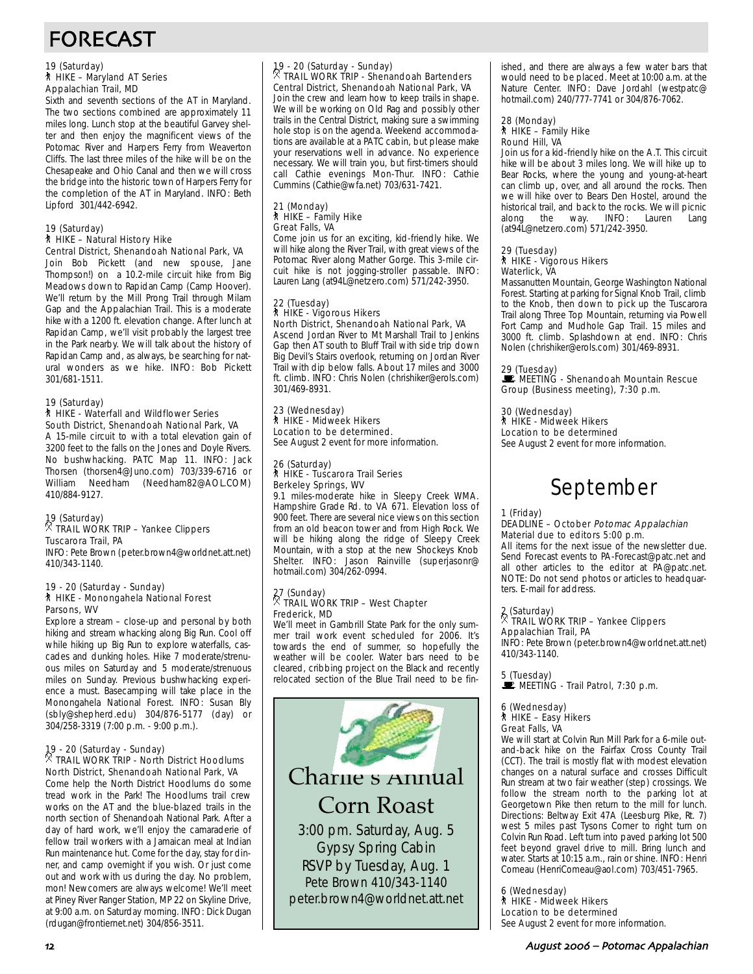# FORECAST

#### 19 (Saturday) ` HIKE – Maryland AT Series Appalachian Trail, MD

Sixth and seventh sections of the AT in Maryland. The two sections combined are approximately 11 miles long. Lunch stop at the beautiful Garvey shelter and then enjoy the magnificent views of the Potomac River and Harpers Ferry from Weaverton Cliffs. The last three miles of the hike will be on the Chesapeake and Ohio Canal and then we will cross the bridge into the historic town of Harpers Ferry for the completion of the AT in Maryland. INFO: Beth Lipford 301/442-6942.

#### 19 (Saturday) ` HIKE – Natural History Hike Central District, Shenandoah National Park, VA

Join Bob Pickett (and new spouse, Jane Thompson!) on a 10.2-mile circuit hike from Big Meadows down to Rapidan Camp (Camp Hoover). We'll return by the Mill Prong Trail through Milam Gap and the Appalachian Trail. This is a moderate hike with a 1200 ft. elevation change. After lunch at Rapidan Camp, we'll visit probably the largest tree in the Park nearby. We will talk about the history of Rapidan Camp and, as always, be searching for natural wonders as we hike. INFO: Bob Pickett 301/681-1511.

### 19 (Saturday)

#### ` HIKE - Waterfall and Wildflower Series South District, Shenandoah National Park, VA

A 15-mile circuit to with a total elevation gain of 3200 feet to the falls on the Jones and Doyle Rivers. No bushwhacking. PATC Map 11. INFO: Jack Thorsen (thorsen4@Juno.com) 703/339-6716 or William Needham (Needham82@AOL.COM) 410/884-9127.

### 19 (Saturday) . TRAIL WORK TRIP – Yankee Clippers Tuscarora Trail, PA

INFO: Pete Brown (peter.brown4@worldnet.att.net) 410/343-1140.

#### 19 - 20 (Saturday - Sunday) ` HIKE - Monongahela National Forest Parsons, WV

Explore a stream – close-up and personal by both hiking and stream whacking along Big Run. Cool off while hiking up Big Run to explore waterfalls, cascades and dunking holes. Hike 7 moderate/strenuous miles on Saturday and 5 moderate/strenuous miles on Sunday. Previous bushwhacking experience a must. Basecamping will take place in the Monongahela National Forest. INFO: Susan Bly (sbly@shepherd.edu) 304/876-5177 (day) or 304/258-3319 (7:00 p.m. - 9:00 p.m.).

# 19 - 20 (Saturday - Sunday) . TRAIL WORK TRIP - North District Hoodlums North District, Shenandoah National Park, VA

Come help the North District Hoodlums do some tread work in the Park! The Hoodlums trail crew works on the AT and the blue-blazed trails in the north section of Shenandoah National Park. After a day of hard work, we'll enjoy the camaraderie of fellow trail workers with a Jamaican meal at Indian Run maintenance hut. Come for the day, stay for dinner, and camp overnight if you wish. Or just come out and work with us during the day. No problem, mon! Newcomers are always welcome! We'll meet at Piney River Ranger Station, MP 22 on Skyline Drive, at 9:00 a.m. on Saturday morning. INFO: Dick Dugan (rdugan@frontiernet.net) 304/856-3511.

# 19 - 20 (Saturday - Sunday) . TRAIL WORK TRIP - Shenandoah Bartenders

Central District, Shenandoah National Park, VA Join the crew and learn how to keep trails in shape. We will be working on Old Rag and possibly other trails in the Central District, making sure a swimming hole stop is on the agenda. Weekend accommodations are available at a PATC cabin, but please make your reservations well in advance. No experience necessary. We will train you, but first-timers should call Cathie evenings Mon-Thur. INFO: Cathie Cummins (Cathie@wfa.net) 703/631-7421.

#### 21 (Monday) ` HIKE – Family Hike Great Falls, VA

Come join us for an exciting, kid-friendly hike. We will hike along the River Trail, with great views of the Potomac River along Mather Gorge. This 3-mile circuit hike is not jogging-stroller passable. INFO: Lauren Lang (at94L@netzero.com) 571/242-3950.

#### 22 (Tuesday) ` HIKE - Vigorous Hikers North District, Shenandoah National Park, VA

Ascend Jordan River to Mt Marshall Trail to Jenkins Gap then AT south to Bluff Trail with side trip down Big Devil's Stairs overlook, returning on Jordan River Trail with dip below falls. About 17 miles and 3000 ft. climb. INFO: Chris Nolen (chrishiker@erols.com) 301/469-8931.

### 23 (Wednesday) ` HIKE - Midweek Hikers

Location to be determined. See August 2 event for more information.

#### 26 (Saturday) ` HIKE - Tuscarora Trail Series Berkeley Springs, WV

9.1 miles-moderate hike in Sleepy Creek WMA. Hampshire Grade Rd. to VA 671. Elevation loss of 900 feet. There are several nice views on this section from an old beacon tower and from High Rock. We will be hiking along the ridge of Sleepy Creek Mountain, with a stop at the new Shockeys Knob Shelter. INFO: Jason Rainville (superjasonr@ hotmail.com) 304/262-0994.

### 27 (Sunday) . TRAIL WORK TRIP – West Chapter Frederick, MD

We'll meet in Gambrill State Park for the only summer trail work event scheduled for 2006. It's towards the end of summer, so hopefully the weather will be cooler. Water bars need to be cleared, cribbing project on the Black and recently relocated section of the Blue Trail need to be fin-



ished, and there are always a few water bars that would need to be placed. Meet at 10:00 a.m. at the Nature Center. INFO: Dave Jordahl (westpatc@ hotmail.com) 240/777-7741 or 304/876-7062.

# 28 (Monday) ` HIKE – Family Hike Round Hill, VA

Join us for a kid-friendly hike on the A.T. This circuit hike will be about 3 miles long. We will hike up to Bear Rocks, where the young and young-at-heart can climb up, over, and all around the rocks. Then we will hike over to Bears Den Hostel, around the historical trail, and back to the rocks. We will picnic<br>along the way. INFO: Lauren Lang way. INFO: Lauren Lang (at94L@netzero.com) 571/242-3950.

# 29 (Tuesday)

#### ` HIKE - Vigorous Hikers Waterlick, VA

Massanutten Mountain, George Washington National Forest. Starting at parking for Signal Knob Trail, climb to the Knob, then down to pick up the Tuscarora Trail along Three Top Mountain, returning via Powell Fort Camp and Mudhole Gap Trail. 15 miles and 3000 ft. climb. Splashdown at end. INFO: Chris Nolen (chrishiker@erols.com) 301/469-8931.

### 29 (Tuesday)

**WEETING - Shenandoah Mountain Rescue** Group (Business meeting), 7:30 p.m.

# 30 (Wednesday)

` HIKE - Midweek Hikers

Location to be determined See August 2 event for more information.

# September

#### 1 (Friday)

#### DEADLINE - October Potomac Appalachian Material due to editors 5:00 p.m.

All items for the next issue of the newsletter due. Send Forecast events to PA-Forecast@patc.net and all other articles to the editor at PA@patc.net. NOTE: Do not send photos or articles to headquarters. E-mail for address.

### 2 (Saturday) . TRAIL WORK TRIP – Yankee Clippers Appalachian Trail, PA

INFO: Pete Brown (peter.brown4@worldnet.att.net) 410/343-1140.

5 (Tuesday)  $\mathbb{R}$  MEETING - Trail Patrol, 7:30 p.m.

#### 6 (Wednesday) ` HIKE – Easy Hikers Great Falls, VA

We will start at Colvin Run Mill Park for a 6-mile outand-back hike on the Fairfax Cross County Trail (CCT). The trail is mostly flat with modest elevation changes on a natural surface and crosses Difficult Run stream at two fair weather (step) crossings. We follow the stream north to the parking lot at Georgetown Pike then return to the mill for lunch. Directions: Beltway Exit 47A (Leesburg Pike, Rt. 7) west 5 miles past Tysons Corner to right turn on Colvin Run Road. Left turn into paved parking lot 500 feet beyond gravel drive to mill. Bring lunch and water. Starts at 10:15 a.m., rain or shine. INFO: Henri Comeau (HenriComeau@aol.com) 703/451-7965.

6 (Wednesday) ` HIKE - Midweek Hikers Location to be determined See August 2 event for more information.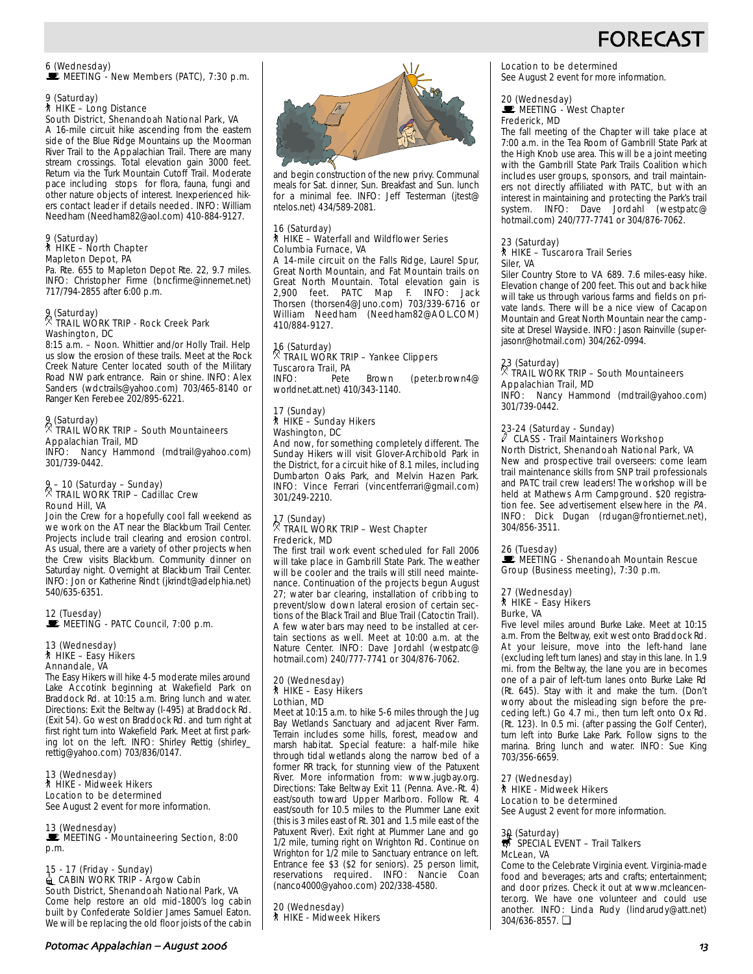# **FORECAS**

6 (Wednesday)<br>■ MEETING - New Members (PATC), 7:30 p.m.

### 9 (Saturday) ` HIKE – Long Distance

South District, Shenandoah National Park, VA A 16-mile circuit hike ascending from the eastern side of the Blue Ridge Mountains up the Moorman River Trail to the Appalachian Trail. There are many stream crossings. Total elevation gain 3000 feet. Return via the Turk Mountain Cutoff Trail. Moderate pace including stops for flora, fauna, fungi and other nature objects of interest. Inexperienced hikers contact leader if details needed. INFO: William Needham (Needham82@aol.com) 410-884-9127.

# 9 (Saturday) ` HIKE – North Chapter Mapleton Depot, PA

Pa. Rte. 655 to Mapleton Depot Rte. 22, 9.7 miles. INFO: Christopher Firme (bncfirme@innernet.net) 717/794-2855 after 6:00 p.m.

# 9 (Saturday) . TRAIL WORK TRIP - Rock Creek Park Washington, DC

8:15 a.m. – Noon. Whittier and/or Holly Trail. Help us slow the erosion of these trails. Meet at the Rock Creek Nature Center located south of the Military Road NW park entrance. Rain or shine. INFO: Alex Sanders (wdctrails@yahoo.com) 703/465-8140 or Ranger Ken Ferebee 202/895-6221.

### 9 (Saturday) . TRAIL WORK TRIP – South Mountaineers Appalachian Trail, MD

INFO: Nancy Hammond (mdtrail@yahoo.com) 301/739-0442.

# 9 – 10 (Saturday – Sunday) . TRAIL WORK TRIP – Cadillac Crew Round Hill, VA

Join the Crew for a hopefully cool fall weekend as we work on the AT near the Blackburn Trail Center. Projects include trail clearing and erosion control. As usual, there are a variety of other projects when the Crew visits Blackburn. Community dinner on Saturday night. Overnight at Blackburn Trail Center. INFO: Jon or Katherine Rindt (jkrindt@adelphia.net) 540/635-6351.

12 (Tuesday)<br>■ MEETING - PATC Council, 7:00 p.m.

#### 13 (Wednesday) ` HIKE – Easy Hikers Annandale, VA

The Easy Hikers will hike 4-5 moderate miles around Lake Accotink beginning at Wakefield Park on Braddock Rd. at 10:15 a.m. Bring lunch and water. Directions: Exit the Beltway (I-495) at Braddock Rd. (Exit 54). Go west on Braddock Rd. and turn right at first right turn into Wakefield Park. Meet at first parking lot on the left. INFO: Shirley Rettig (shirley\_ rettig@yahoo.com) 703/836/0147.

13 (Wednesday) ` HIKE - Midweek Hikers Location to be determined See August 2 event for more information.

13 (Wednesday) MEETING - Mountaineering Section, 8:00 p.m.

15 - 17 (Friday - Sunday)<br>■ CABIN WORK TRIP - Argow Cabin South District, Shenandoah National Park, VA Come help restore an old mid-1800's log cabin built by Confederate Soldier James Samuel Eaton. We will be replacing the old floor joists of the cabin



and begin construction of the new privy. Communal meals for Sat. dinner, Sun. Breakfast and Sun. lunch for a minimal fee. INFO: Jeff Testerman (jtest@ ntelos.net) 434/589-2081.

#### 16 (Saturday) ` HIKE – Waterfall and Wildflower Series Columbia Furnace, VA

A 14-mile circuit on the Falls Ridge, Laurel Spur, Great North Mountain, and Fat Mountain trails on Great North Mountain. Total elevation gain is<br>2,900 feet. PATC Map F. INFO: Jack PATC Map F. INFO: Jack Thorsen (thorsen4@Juno.com) 703/339-6716 or William Needham (Needham82@AOL.COM) 410/884-9127.

# 16 (Saturday) . TRAIL WORK TRIP – Yankee Clippers Tuscarora Trail, PA<br>INFO: Pete

Brown (peter.brown4@ worldnet.att.net) 410/343-1140.

# 17 (Sunday) ` HIKE – Sunday Hikers Washington, DC

And now, for something completely different. The Sunday Hikers will visit Glover-Archibold Park in the District, for a circuit hike of 8.1 miles, including Dumbarton Oaks Park, and Melvin Hazen Park. INFO: Vince Ferrari (vincentferrari@gmail.com) 301/249-2210.

# 17 (Sunday) . TRAIL WORK TRIP – West Chapter Frederick, MD

The first trail work event scheduled for Fall 2006 will take place in Gambrill State Park. The weather will be cooler and the trails will still need maintenance. Continuation of the projects begun August 27; water bar clearing, installation of cribbing to prevent/slow down lateral erosion of certain sections of the Black Trail and Blue Trail (Catoctin Trail). A few water bars may need to be installed at certain sections as well. Meet at 10:00 a.m. at the Nature Center. INFO: Dave Jordahl (westpatc@ hotmail.com) 240/777-7741 or 304/876-7062.

#### 20 (Wednesday) ` HIKE – Easy Hikers Lothian, MD

Meet at 10:15 a.m. to hike 5-6 miles through the Jug Bay Wetlands Sanctuary and adjacent River Farm. Terrain includes some hills, forest, meadow and marsh habitat. Special feature: a half-mile hike through tidal wetlands along the narrow bed of a former RR track, for stunning view of the Patuxent River. More information from: www.jugbay.org. Directions: Take Beltway Exit 11 (Penna. Ave.-Rt. 4) east/south toward Upper Marlboro. Follow Rt. 4 east/south for 10.5 miles to the Plummer Lane exit (this is 3 miles east of Rt. 301 and 1.5 mile east of the Patuxent River). Exit right at Plummer Lane and go 1/2 mile, turning right on Wrighton Rd. Continue on Wrighton for 1/2 mile to Sanctuary entrance on left. Entrance fee \$3 (\$2 for seniors). 25 person limit, reservations required. INFO: Nancie Coan (nanco4000@yahoo.com) 202/338-4580.

20 (Wednesday) ` HIKE - Midweek Hikers Location to be determined See August 2 event for more information.

# 20 (Wednesday)<br>■ MEETING - West Chapter Frederick, MD

The fall meeting of the Chapter will take place at 7:00 a.m. in the Tea Room of Gambrill State Park at the High Knob use area. This will be a joint meeting with the Gambrill State Park Trails Coalition which includes user groups, sponsors, and trail maintainers not directly affiliated with PATC, but with an interest in maintaining and protecting the Park's trail system. INFO: Dave Jordahl (westpatc@ hotmail.com) 240/777-7741 or 304/876-7062.

### 23 (Saturday) ` HIKE – Tuscarora Trail Series Siler, VA

Siler Country Store to VA 689. 7.6 miles-easy hike. Elevation change of 200 feet. This out and back hike will take us through various farms and fields on private lands. There will be a nice view of Cacapon Mountain and Great North Mountain near the campsite at Dresel Wayside. INFO: Jason Rainville (superjasonr@hotmail.com) 304/262-0994.

### 23 (Saturday) . TRAIL WORK TRIP – South Mountaineers Appalachian Trail, MD

INFO: Nancy Hammond (mdtrail@yahoo.com) 301/739-0442.

# 23-24 (Saturday - Sunday)

#### $\nabla$  CLASS - Trail Maintainers Workshop North District, Shenandoah National Park, VA

New and prospective trail overseers: come learn trail maintenance skills from SNP trail professionals and PATC trail crew leaders! The workshop will be held at Mathews Arm Campground. \$20 registration fee. See advertisement elsewhere in the PA. INFO: Dick Dugan (rdugan@frontiernet.net), 304/856-3511.

26 (Tuesday)

**MEETING - Shenandoah Mountain Rescue** Group (Business meeting), 7:30 p.m.

# 27 (Wednesday) ` HIKE – Easy Hikers

Burke, VA

Five level miles around Burke Lake. Meet at 10:15 a.m. From the Beltway, exit west onto Braddock Rd. At your leisure, move into the left-hand lane (excluding left turn lanes) and stay in this lane. In 1.9 mi. from the Beltway, the lane you are in becomes one of a pair of left-turn lanes onto Burke Lake Rd (Rt. 645). Stay with it and make the turn. (Don't worry about the misleading sign before the preceding left.) Go 4.7 mi., then turn left onto Ox Rd. (Rt. 123). In 0.5 mi. (after passing the Golf Center), turn left into Burke Lake Park. Follow signs to the marina. Bring lunch and water. INFO: Sue King 703/356-6659.

27 (Wednesday) ` HIKE - Midweek Hikers Location to be determined See August 2 event for more information.

# 30 (Saturday)<br> $\overline{\mathbb{S}}$  SPECIAL EVENT – Trail Talkers McLean, VA

Come to the Celebrate Virginia event. Virginia-made food and beverages; arts and crafts; entertainment; and door prizes. Check it out at www.mcleancenter.org. We have one volunteer and could use another. INFO: Linda Rudy (lindarudy@att.net) 304/636-8557. ❏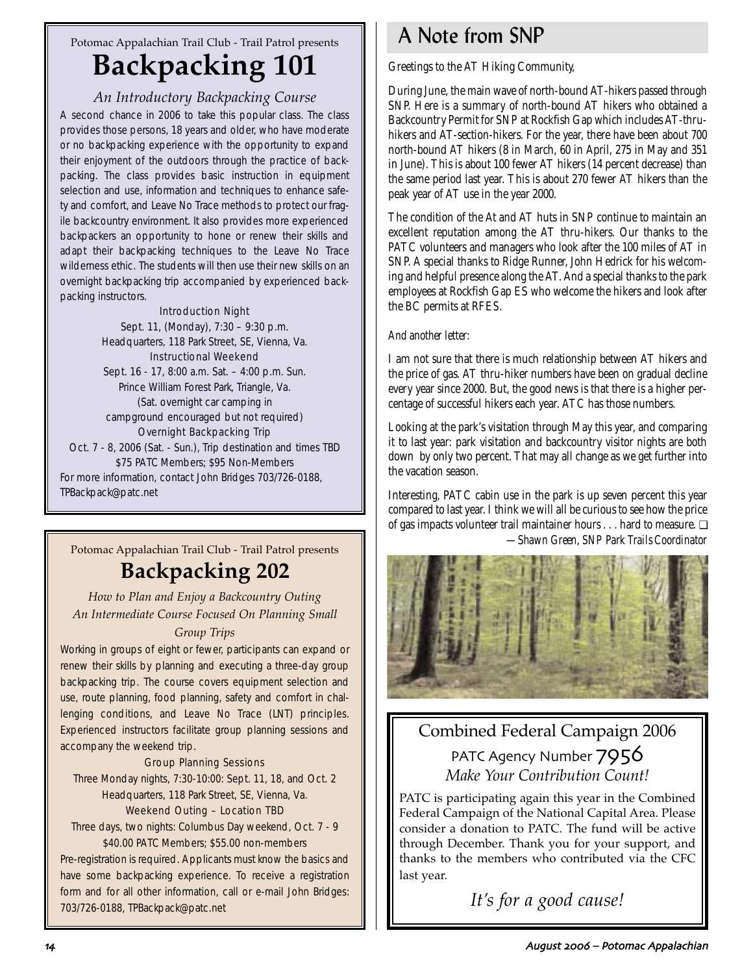# Potomac Appalachian Trail Club - Trail Patrol presents **Backpacking 101**

# *An Introductory Backpacking Course*

A second chance in 2006 to take this popular class. The class provides those persons, 18 years and older, who have moderate or no backpacking experience with the opportunity to expand their enjoyment of the outdoors through the practice of backpacking. The class provides basic instruction in equipment selection and use, information and techniques to enhance safety and comfort, and Leave No Trace methods to protect our fragile backcountry environment. It also provides more experienced backpackers an opportunity to hone or renew their skills and adapt their backpacking techniques to the Leave No Trace wilderness ethic. The students will then use their new skills on an overnight backpacking trip accompanied by experienced backpacking instructors.

### Introduction Night

Sept. 11, (Monday), 7:30 – 9:30 p.m. Headquarters, 118 Park Street, SE, Vienna, Va. Instructional Weekend Sept. 16 - 17, 8:00 a.m. Sat. – 4:00 p.m. Sun. Prince William Forest Park, Triangle, Va. (Sat. overnight car camping in campground encouraged but not required) Overnight Backpacking Trip Oct. 7 - 8, 2006 (Sat. - Sun.), Trip destination and times TBD \$75 PATC Members; \$95 Non-Members For more information, contact John Bridges 703/726-0188, TPBackpack@patc.net

# Potomac Appalachian Trail Club - Trail Patrol presents **Backpacking 202**

# *How to Plan and Enjoy a Backcountry Outing An Intermediate Course Focused On Planning Small Group Trips*

Working in groups of eight or fewer, participants can expand or renew their skills by planning and executing a three-day group backpacking trip. The course covers equipment selection and use, route planning, food planning, safety and comfort in challenging conditions, and Leave No Trace (LNT) principles. Experienced instructors facilitate group planning sessions and accompany the weekend trip.

### Group Planning Sessions

Three Monday nights, 7:30-10:00: Sept. 11, 18, and Oct. 2 Headquarters, 118 Park Street, SE, Vienna, Va.

### Weekend Outing – Location TBD

Three days, two nights: Columbus Day weekend, Oct. 7 - 9 \$40.00 PATC Members; \$55.00 non-members

Pre-registration is required. Applicants must know the basics and have some backpacking experience. To receive a registration form and for all other information, call or e-mail John Bridges: 703/726-0188, TPBackpack@patc.net

# A Note from SNP

Greetings to the AT Hiking Community,

During June, the main wave of north-bound AT-hikers passed through SNP. Here is a summary of north-bound AT hikers who obtained a Backcountry Permit for SNP at Rockfish Gap which includes AT-thruhikers and AT-section-hikers. For the year, there have been about 700 north-bound AT hikers (8 in March, 60 in April, 275 in May and 351 in June). This is about 100 fewer AT hikers (14 percent decrease) than the same period last year. This is about 270 fewer AT hikers than the peak year of AT use in the year 2000.

The condition of the At and AT huts in SNP continue to maintain an excellent reputation among the AT thru-hikers. Our thanks to the PATC volunteers and managers who look after the 100 miles of AT in SNP. A special thanks to Ridge Runner, John Hedrick for his welcoming and helpful presence along the AT. And a special thanks to the park employees at Rockfish Gap ES who welcome the hikers and look after the BC permits at RFES.

### *And another letter:*

I am not sure that there is much relationship between AT hikers and the price of gas. AT thru-hiker numbers have been on gradual decline every year since 2000. But, the good news is that there is a higher percentage of successful hikers each year. ATC has those numbers.

Looking at the park's visitation through May this year, and comparing it to last year: park visitation and backcountry visitor nights are both down by only two percent. That may all change as we get further into the vacation season.

Interesting, PATC cabin use in the park is up seven percent this year compared to last year. I think we will all be curious to see how the price of gas impacts volunteer trail maintainer hours . . . hard to measure. ❏ *—Shawn Green, SNP Park Trails Coordinator*



# Combined Federal Campaign 2006

PATC Agency Number 7956 *Make Your Contribution Count!*

PATC is participating again this year in the Combined Federal Campaign of the National Capital Area. Please consider a donation to PATC. The fund will be active through December. Thank you for your support, and thanks to the members who contributed via the CFC last year.

*It's for a good cause!*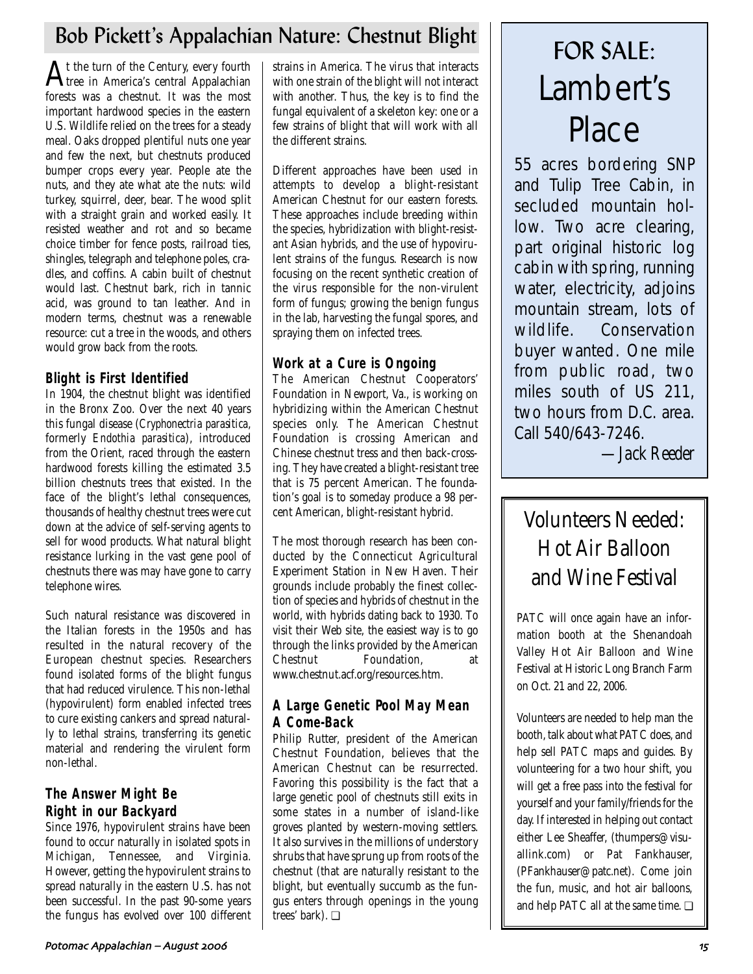# Bob Pickett's Appalachian Nature: Chestnut Blight FOR SALE:<br>
In the turn of the Century, every fourth | strains in America. The virus that interacts

 $A$ t the turn of the Century, every fourth<br> $A$ tree in America's central Appalachian forests was a chestnut. It was the most important hardwood species in the eastern U.S. Wildlife relied on the trees for a steady meal. Oaks dropped plentiful nuts one year and few the next, but chestnuts produced bumper crops every year. People ate the nuts, and they ate what ate the nuts: wild turkey, squirrel, deer, bear. The wood split with a straight grain and worked easily. It resisted weather and rot and so became choice timber for fence posts, railroad ties, shingles, telegraph and telephone poles, cradles, and coffins. A cabin built of chestnut would last. Chestnut bark, rich in tannic acid, was ground to tan leather. And in modern terms, chestnut was a renewable resource: cut a tree in the woods, and others would grow back from the roots.

# **Blight is First Identified**

In 1904, the chestnut blight was identified in the Bronx Zoo. Over the next 40 years this fungal disease (*Cryphonectria parasitica*, formerly *Endothia parasitica*), introduced from the Orient, raced through the eastern hardwood forests killing the estimated 3.5 billion chestnuts trees that existed. In the face of the blight's lethal consequences, thousands of healthy chestnut trees were cut down at the advice of self-serving agents to sell for wood products. What natural blight resistance lurking in the vast gene pool of chestnuts there was may have gone to carry telephone wires.

Such natural resistance was discovered in the Italian forests in the 1950s and has resulted in the natural recovery of the European chestnut species. Researchers found isolated forms of the blight fungus that had reduced virulence. This non-lethal (hypovirulent) form enabled infected trees to cure existing cankers and spread naturally to lethal strains, transferring its genetic material and rendering the virulent form non-lethal.

# **The Answer Might Be Right in our Backyard**

Since 1976, hypovirulent strains have been found to occur naturally in isolated spots in Michigan, Tennessee, and Virginia. However, getting the hypovirulent strains to spread naturally in the eastern U.S. has not been successful. In the past 90-some years the fungus has evolved over 100 different

strains in America. The virus that interacts with one strain of the blight will not interact with another. Thus, the key is to find the fungal equivalent of a skeleton key: one or a few strains of blight that will work with all the different strains.

Different approaches have been used in attempts to develop a blight-resistant American Chestnut for our eastern forests. These approaches include breeding within the species, hybridization with blight-resistant Asian hybrids, and the use of hypovirulent strains of the fungus. Research is now focusing on the recent synthetic creation of the virus responsible for the non-virulent form of fungus; growing the benign fungus in the lab, harvesting the fungal spores, and spraying them on infected trees.

# **Work at a Cure is Ongoing**

The American Chestnut Cooperators' Foundation in Newport, Va., is working on hybridizing within the American Chestnut species only. The American Chestnut Foundation is crossing American and Chinese chestnut tress and then back-crossing. They have created a blight-resistant tree that is 75 percent American. The foundation's goal is to someday produce a 98 percent American, blight-resistant hybrid.

The most thorough research has been conducted by the Connecticut Agricultural Experiment Station in New Haven. Their grounds include probably the finest collection of species and hybrids of chestnut in the world, with hybrids dating back to 1930. To visit their Web site, the easiest way is to go through the links provided by the American Chestnut Foundation, at www.chestnut.acf.org/resources.htm.

# **A Large Genetic Pool May Mean A Come-Back**

Philip Rutter, president of the American Chestnut Foundation, believes that the American Chestnut can be resurrected. Favoring this possibility is the fact that a large genetic pool of chestnuts still exits in some states in a number of island-like groves planted by western-moving settlers. It also survives in the millions of understory shrubs that have sprung up from roots of the chestnut (that are naturally resistant to the blight, but eventually succumb as the fungus enters through openings in the young trees' bark). ❏

# Lambert's Place

55 acres bordering SNP and Tulip Tree Cabin, in secluded mountain hollow. Two acre clearing, part original historic log cabin with spring, running water, electricity, adjoins mountain stream, lots of wildlife. Conservation buyer wanted. One mile from public road, two miles south of US 211, two hours from D.C. area. Call 540/643-7246.

*—Jack Reeder*

# Volunteers Needed: Hot Air Balloon and Wine Festival

PATC will once again have an information booth at the Shenandoah Valley Hot Air Balloon and Wine Festival at Historic Long Branch Farm on Oct. 21 and 22, 2006.

Volunteers are needed to help man the booth, talk about what PATC does, and help sell PATC maps and guides. By volunteering for a two hour shift, you will get a free pass into the festival for yourself and your family/friends for the day. If interested in helping out contact either Lee Sheaffer, (thumpers@visuallink.com) or Pat Fankhauser, (PFankhauser@patc.net). Come join the fun, music, and hot air balloons, and help PATC all at the same time. ❏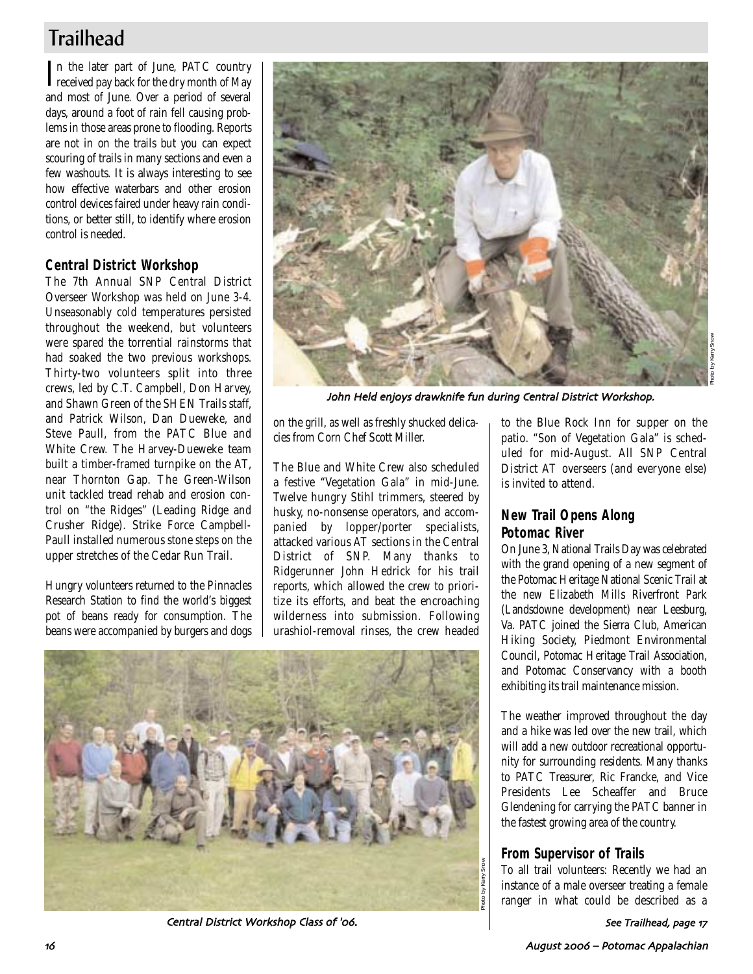# **Trailhead**

In the later part of June, PATC country<br>received pay back for the dry month of May n the later part of June, PATC country and most of June. Over a period of several days, around a foot of rain fell causing problems in those areas prone to flooding. Reports are not in on the trails but you can expect scouring of trails in many sections and even a few washouts. It is always interesting to see how effective waterbars and other erosion control devices faired under heavy rain conditions, or better still, to identify where erosion control is needed.

# **Central District Workshop**

The 7th Annual SNP Central District Overseer Workshop was held on June 3-4. Unseasonably cold temperatures persisted throughout the weekend, but volunteers were spared the torrential rainstorms that had soaked the two previous workshops. Thirty-two volunteers split into three crews, led by C.T. Campbell, Don Harvey, and Shawn Green of the SHEN Trails staff, and Patrick Wilson, Dan Dueweke, and Steve Paull, from the PATC Blue and White Crew. The Harvey-Dueweke team built a timber-framed turnpike on the AT, near Thornton Gap. The Green-Wilson unit tackled tread rehab and erosion control on "the Ridges" (Leading Ridge and Crusher Ridge). Strike Force Campbell-Paull installed numerous stone steps on the upper stretches of the Cedar Run Trail.

Hungry volunteers returned to the Pinnacles Research Station to find the world's biggest pot of beans ready for consumption. The beans were accompanied by burgers and dogs



John Held enjoys drawknife fun during Central District Workshop

on the grill, as well as freshly shucked delicacies from Corn Chef Scott Miller.

The Blue and White Crew also scheduled a festive "Vegetation Gala" in mid-June. Twelve hungry Stihl trimmers, steered by husky, no-nonsense operators, and accompanied by lopper/porter specialists, attacked various AT sections in the Central District of SNP. Many thanks to Ridgerunner John Hedrick for his trail reports, which allowed the crew to prioritize its efforts, and beat the encroaching wilderness into submission. Following urashiol-removal rinses, the crew headed



Central District Workshop Class of '06.

to the Blue Rock Inn for supper on the patio. "Son of Vegetation Gala" is scheduled for mid-August. All SNP Central District AT overseers (and everyone else) is invited to attend.

# **New Trail Opens Along Potomac River**

On June 3, National Trails Day was celebrated with the grand opening of a new segment of the Potomac Heritage National Scenic Trail at the new Elizabeth Mills Riverfront Park (Landsdowne development) near Leesburg, Va. PATC joined the Sierra Club, American Hiking Society, Piedmont Environmental Council, Potomac Heritage Trail Association, and Potomac Conservancy with a booth exhibiting its trail maintenance mission.

The weather improved throughout the day and a hike was led over the new trail, which will add a new outdoor recreational opportunity for surrounding residents. Many thanks to PATC Treasurer, Ric Francke, and Vice Presidents Lee Scheaffer and Bruce Glendening for carrying the PATC banner in the fastest growing area of the country.

# **From Supervisor of Trails**

To all trail volunteers: Recently we had an instance of a male overseer treating a female ranger in what could be described as a

See Trailhead, page 17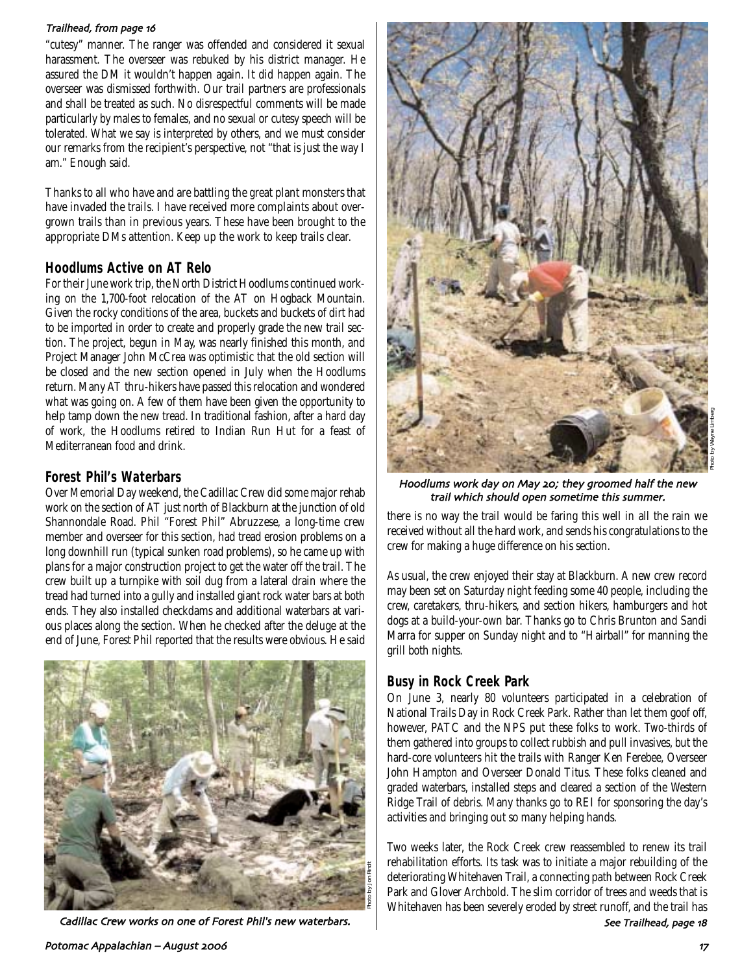### Trailhead, from page 16

"cutesy" manner. The ranger was offended and considered it sexual harassment. The overseer was rebuked by his district manager. He assured the DM it wouldn't happen again. It did happen again. The overseer was dismissed forthwith. Our trail partners are professionals and shall be treated as such. No disrespectful comments will be made particularly by males to females, and no sexual or cutesy speech will be tolerated. What we say is interpreted by others, and we must consider our remarks from the recipient's perspective, not "that is just the way I am." Enough said.

Thanks to all who have and are battling the great plant monsters that have invaded the trails. I have received more complaints about overgrown trails than in previous years. These have been brought to the appropriate DMs attention. Keep up the work to keep trails clear.

### **Hoodlums Active on AT Relo**

For their June work trip, the North District Hoodlums continued working on the 1,700-foot relocation of the AT on Hogback Mountain. Given the rocky conditions of the area, buckets and buckets of dirt had to be imported in order to create and properly grade the new trail section. The project, begun in May, was nearly finished this month, and Project Manager John McCrea was optimistic that the old section will be closed and the new section opened in July when the Hoodlums return. Many AT thru-hikers have passed this relocation and wondered what was going on. A few of them have been given the opportunity to help tamp down the new tread. In traditional fashion, after a hard day of work, the Hoodlums retired to Indian Run Hut for a feast of Mediterranean food and drink.

# **Forest Phil's Waterbars**

Over Memorial Day weekend, the Cadillac Crew did some major rehab work on the section of AT just north of Blackburn at the junction of old Shannondale Road. Phil "Forest Phil" Abruzzese, a long-time crew member and overseer for this section, had tread erosion problems on a long downhill run (typical sunken road problems), so he came up with plans for a major construction project to get the water off the trail. The crew built up a turnpike with soil dug from a lateral drain where the tread had turned into a gully and installed giant rock water bars at both ends. They also installed checkdams and additional waterbars at various places along the section. When he checked after the deluge at the end of June, Forest Phil reported that the results were obvious. He said



Cadillac Crew works on one of Forest Phil's new waterbars.  $\Box$  See Trailhead, page 18



Hoodlums work day on May 20; they groomed half the new trail which should open sometime this summer

there is no way the trail would be faring this well in all the rain we received without all the hard work, and sends his congratulations to the crew for making a huge difference on his section.

As usual, the crew enjoyed their stay at Blackburn. A new crew record may been set on Saturday night feeding some 40 people, including the crew, caretakers, thru-hikers, and section hikers, hamburgers and hot dogs at a build-your-own bar. Thanks go to Chris Brunton and Sandi Marra for supper on Sunday night and to "Hairball" for manning the grill both nights.

# **Busy in Rock Creek Park**

On June 3, nearly 80 volunteers participated in a celebration of National Trails Day in Rock Creek Park. Rather than let them goof off, however, PATC and the NPS put these folks to work. Two-thirds of them gathered into groups to collect rubbish and pull invasives, but the hard-core volunteers hit the trails with Ranger Ken Ferebee, Overseer John Hampton and Overseer Donald Titus. These folks cleaned and graded waterbars, installed steps and cleared a section of the Western Ridge Trail of debris. Many thanks go to REI for sponsoring the day's activities and bringing out so many helping hands.

Two weeks later, the Rock Creek crew reassembled to renew its trail rehabilitation efforts. Its task was to initiate a major rebuilding of the deteriorating Whitehaven Trail, a connecting path between Rock Creek Park and Glover Archbold. The slim corridor of trees and weeds that is Whitehaven has been severely eroded by street runoff, and the trail has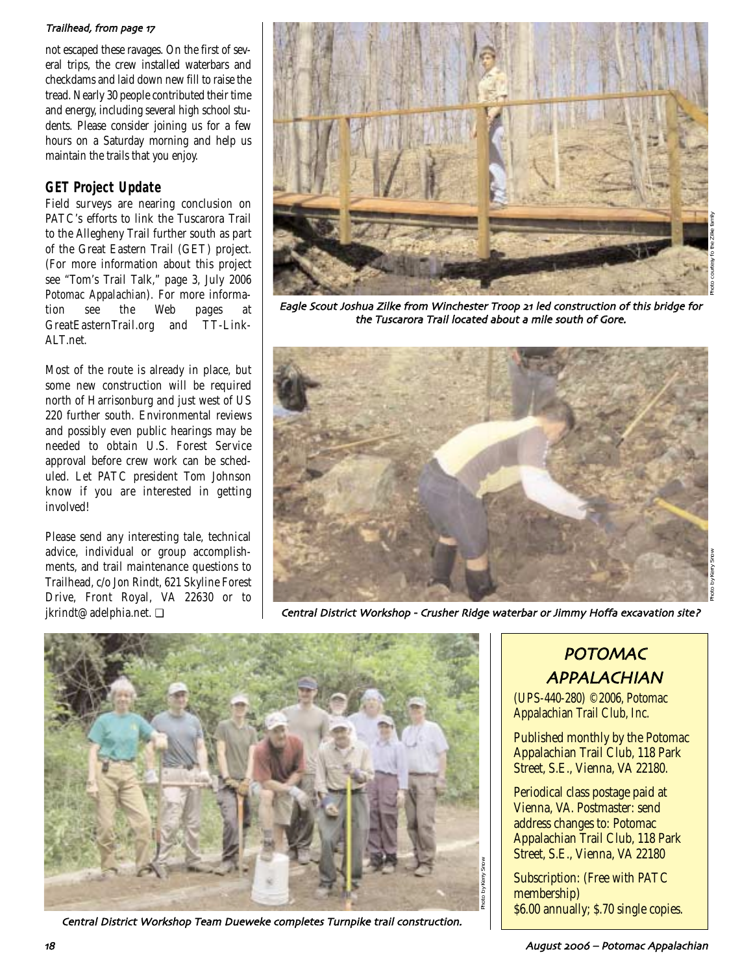### Trailhead, from page 17

not escaped these ravages. On the first of several trips, the crew installed waterbars and checkdams and laid down new fill to raise the tread. Nearly 30 people contributed their time and energy, including several high school students. Please consider joining us for a few hours on a Saturday morning and help us maintain the trails that you enjoy.

# **GET Project Update**

Field surveys are nearing conclusion on PATC's efforts to link the Tuscarora Trail to the Allegheny Trail further south as part of the Great Eastern Trail (GET) project. (For more information about this project see "Tom's Trail Talk," page 3, July 2006 *Potomac Appalachian*). For more information see the Web pages at GreatEasternTrail.org and TT-Link-ALT.net.

Most of the route is already in place, but some new construction will be required north of Harrisonburg and just west of US 220 further south. Environmental reviews and possibly even public hearings may be needed to obtain U.S. Forest Service approval before crew work can be scheduled. Let PATC president Tom Johnson know if you are interested in getting involved!

Please send any interesting tale, technical advice, individual or group accomplishments, and trail maintenance questions to Trailhead, c/o Jon Rindt, 621 Skyline Forest Drive, Front Royal, VA 22630 or to jkrindt@adelphia.net. ❏



Eagle Scout Joshua Zilke from Winchester Troop 21 led construction of this bridge for the Tuscarora Trail located about a mile south of Gore



Central District Workshop - Crusher Ridge waterbar or Jimmy Hoffa excavation site?



Central District Workshop Team Dueweke completes Turnpike trail construction

# POTOMAC APPALACHIAN

(UPS-440-280) ©2006, Potomac Appalachian Trail Club, Inc.

Published monthly by the Potomac Appalachian Trail Club, 118 Park Street, S.E., Vienna, VA 22180.

Periodical class postage paid at Vienna, VA. Postmaster: send address changes to: Potomac Appalachian Trail Club, 118 Park Street, S.E., Vienna, VA 22180

Subscription: (Free with PATC membership) \$6.00 annually; \$.70 single copies.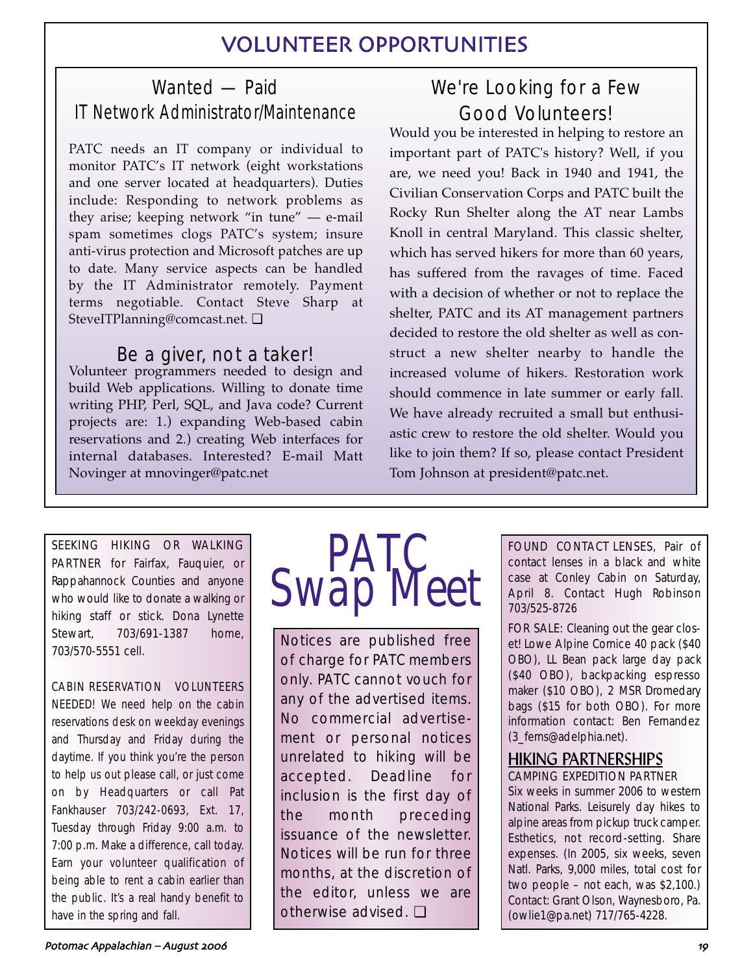# VOLUNTEER OPPORTUNITIES

# Wanted — Paid IT Network Administrator/Maintenance

PATC needs an IT company or individual to monitor PATC's IT network (eight workstations and one server located at headquarters). Duties include: Responding to network problems as they arise; keeping network "in tune" — e-mail spam sometimes clogs PATC's system; insure anti-virus protection and Microsoft patches are up to date. Many service aspects can be handled by the IT Administrator remotely. Payment terms negotiable. Contact Steve Sharp at SteveITPlanning@comcast.net. ❏

# Be a giver, not a taker!

Volunteer programmers needed to design and build Web applications. Willing to donate time writing PHP, Perl, SQL, and Java code? Current projects are: 1.) expanding Web-based cabin reservations and 2.) creating Web interfaces for internal databases. Interested? E-mail Matt Novinger at mnovinger@patc.net

# We're Looking for a Few Good Volunteers!

Would you be interested in helping to restore an important part of PATC's history? Well, if you are, we need you! Back in 1940 and 1941, the Civilian Conservation Corps and PATC built the Rocky Run Shelter along the AT near Lambs Knoll in central Maryland. This classic shelter, which has served hikers for more than 60 years, has suffered from the ravages of time. Faced with a decision of whether or not to replace the shelter, PATC and its AT management partners decided to restore the old shelter as well as construct a new shelter nearby to handle the increased volume of hikers. Restoration work should commence in late summer or early fall. We have already recruited a small but enthusiastic crew to restore the old shelter. Would you like to join them? If so, please contact President Tom Johnson at president@patc.net.

SEEKING HIKING OR WALKING PARTNER for Fairfax, Fauquier, or Rappahannock Counties and anyone who would like to donate a walking or hiking staff or stick. Dona Lynette Stewart, 703/691-1387 home, 703/570-5551 cell.

CABIN RESERVATION VOLUNTEERS NEEDED! We need help on the cabin reservations desk on weekday evenings and Thursday and Friday during the daytime. If you think you're the person to help us out please call, or just come on by Headquarters or call Pat Fankhauser 703/242-0693, Ext. 17, Tuesday through Friday 9:00 a.m. to 7:00 p.m. Make a difference, call today. Earn your volunteer qualification of being able to rent a cabin earlier than the public. It's a real handy benefit to have in the spring and fall.



Notices are published free of charge for PATC members only. PATC cannot vouch for any of the advertised items. No commercial advertisement or personal notices unrelated to hiking will be accepted. Deadline for inclusion is the first day of the month preceding issuance of the newsletter. Notices will be run for three months, at the discretion of the editor, unless we are otherwise advised. ❏

FOUND CONTACT LENSES, Pair of contact lenses in a black and white case at Conley Cabin on Saturday, April 8. Contact Hugh Robinson 703/525-8726

FOR SALE: Cleaning out the gear closet! Lowe Alpine Cornice 40 pack (\$40 OBO), LL Bean pack large day pack (\$40 OBO), backpacking espresso maker (\$10 OBO), 2 MSR Dromedary bags (\$15 for both OBO). For more information contact: Ben Fernandez (3\_ferns@adelphia.net).

# HIKING PARTNERSHIPS CAMPING EXPEDITION PARTNER

Six weeks in summer 2006 to western National Parks. Leisurely day hikes to alpine areas from pickup truck camper. Esthetics, not record-setting. Share expenses. (In 2005, six weeks, seven Natl. Parks, 9,000 miles, total cost for two people – not each, was \$2,100.) Contact: Grant Olson, Waynesboro, Pa. (owlie1@pa.net) 717/765-4228.